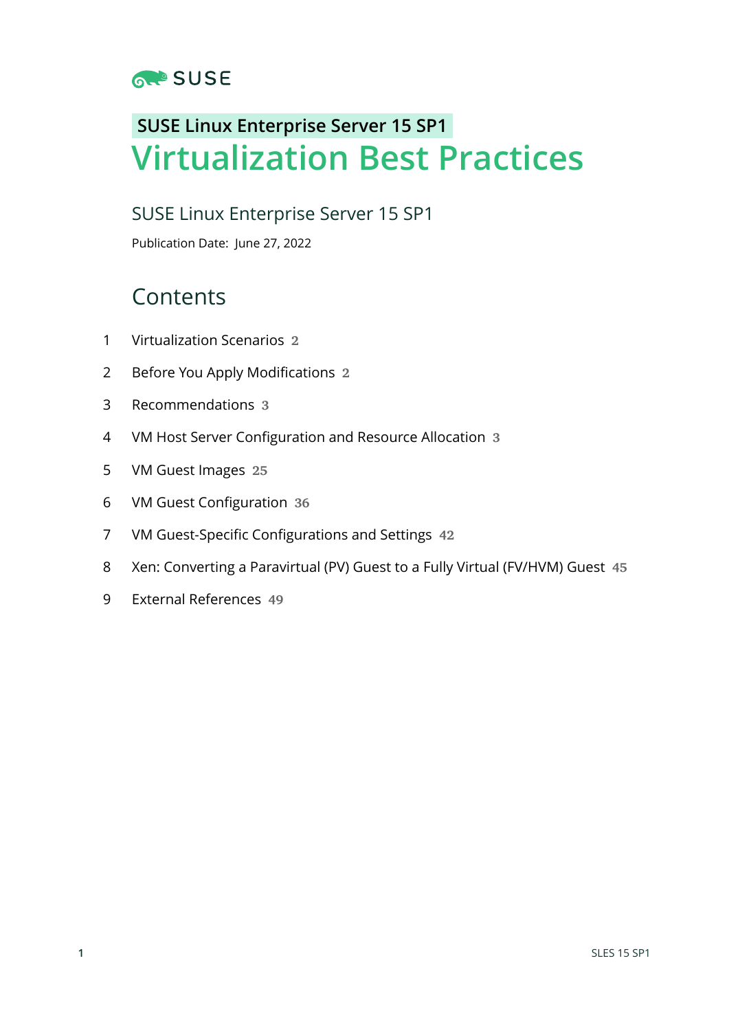

# **SUSE Linux Enterprise Server 15 SP1 Virtualization Best Practices**

# SUSE Linux Enterprise Server 15 SP1

Publication Date: June 27, 2022

# Contents

- [Virtualization Scenarios](#page-1-0) **2**
- Before You Apply [Modifications](#page-1-1) **2**
- [Recommendations](#page-2-0) **3**
- VM Host Server [Configuration](#page-2-1) and Resource Allocation **3**
- [VM Guest Images](#page-24-0) **25**
- VM Guest [Configuration](#page-35-0) **36**
- VM Guest-Specific [Configurations](#page-41-0) and Settings **42**
- Xen: [Converting](#page-44-0) a Paravirtual (PV) Guest to a Fully Virtual (FV/HVM) Guest **45**
- External [References](#page-48-0) **49**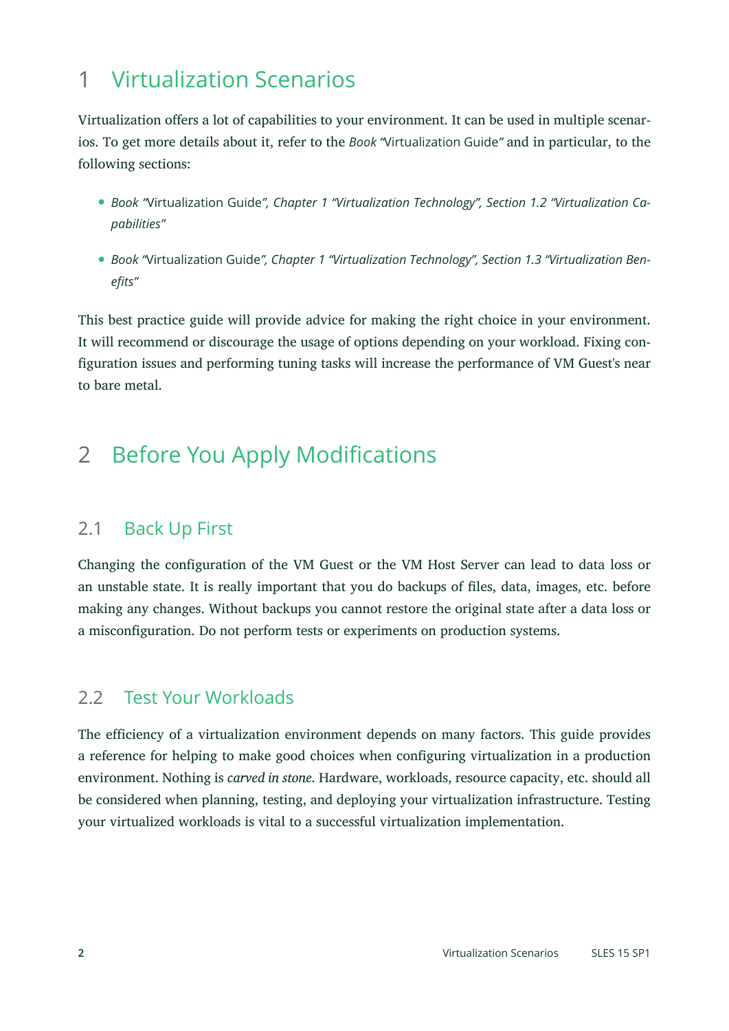# <span id="page-1-0"></span>1 Virtualization Scenarios

Virtualization offers a lot of capabilities to your environment. It can be used in multiple scenarios. To get more details about it, refer to the *Book "*Virtualization Guide*"* and in particular, to the following sections:

- *Book "*Virtualization Guide*", Chapter 1 "Virtualization Technology", Section 1.2 "Virtualization Capabilities"*
- *Book "*Virtualization Guide*", Chapter 1 "Virtualization Technology", Section 1.3 "Virtualization Benefits"*

This best practice guide will provide advice for making the right choice in your environment. It will recommend or discourage the usage of options depending on your workload. Fixing configuration issues and performing tuning tasks will increase the performance of VM Guest's near to bare metal.

# <span id="page-1-1"></span>2 Before You Apply Modifications

# 2.1 Back Up First

Changing the configuration of the VM Guest or the VM Host Server can lead to data loss or an unstable state. It is really important that you do backups of files, data, images, etc. before making any changes. Without backups you cannot restore the original state after a data loss or a misconfiguration. Do not perform tests or experiments on production systems.

# 2.2 Test Your Workloads

The efficiency of a virtualization environment depends on many factors. This guide provides a reference for helping to make good choices when configuring virtualization in a production environment. Nothing is *carved in stone*. Hardware, workloads, resource capacity, etc. should all be considered when planning, testing, and deploying your virtualization infrastructure. Testing your virtualized workloads is vital to a successful virtualization implementation.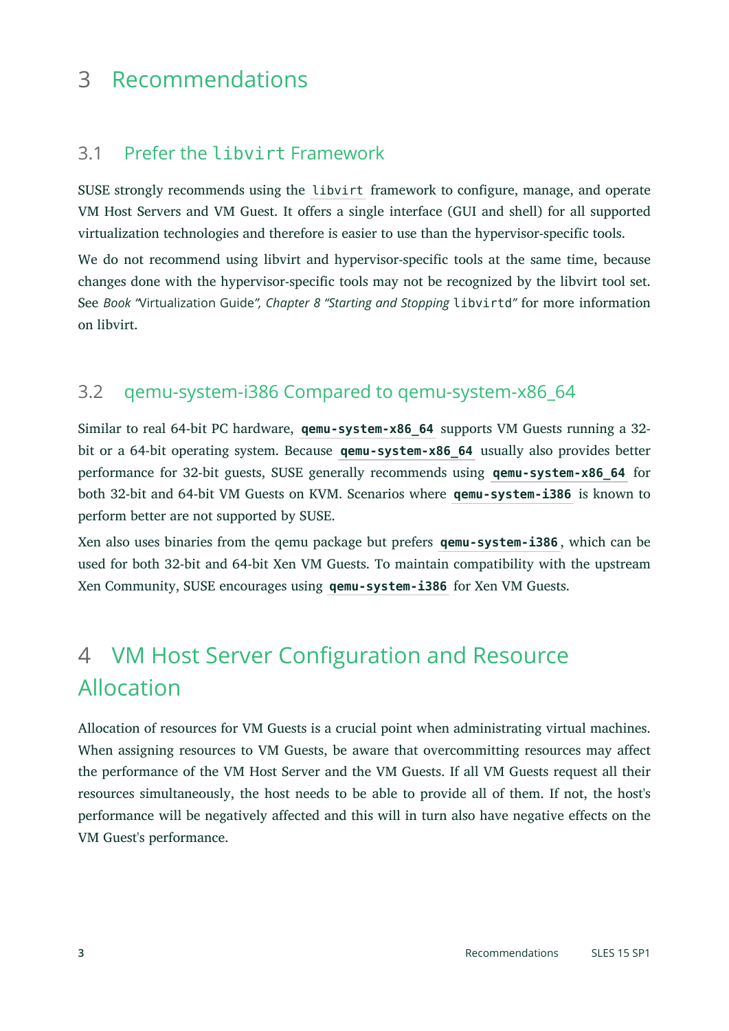# <span id="page-2-0"></span>3 Recommendations

# 3.1 Prefer the libvirt Framework

SUSE strongly recommends using the libvirt framework to configure, manage, and operate VM Host Servers and VM Guest. It offers a single interface (GUI and shell) for all supported virtualization technologies and therefore is easier to use than the hypervisor-specific tools.

We do not recommend using libvirt and hypervisor-specific tools at the same time, because changes done with the hypervisor-specific tools may not be recognized by the libvirt tool set. See *Book "*Virtualization Guide*", Chapter 8 "Starting and Stopping* libvirtd*"* for more information on libvirt.

# 3.2 qemu-system-i386 Compared to qemu-system-x86\_64

Similar to real 64-bit PC hardware, **qemu-system-x86\_64** supports VM Guests running a 32 bit or a 64-bit operating system. Because **qemu-system-x86\_64** usually also provides better performance for 32-bit guests, SUSE generally recommends using **qemu-system-x86\_64** for both 32-bit and 64-bit VM Guests on KVM. Scenarios where **qemu-system-i386** is known to perform better are not supported by SUSE.

Xen also uses binaries from the qemu package but prefers **qemu-system-i386** , which can be used for both 32-bit and 64-bit Xen VM Guests. To maintain compatibility with the upstream Xen Community, SUSE encourages using **qemu-system-i386** for Xen VM Guests.

# <span id="page-2-1"></span>4 VM Host Server Configuration and Resource Allocation

Allocation of resources for VM Guests is a crucial point when administrating virtual machines. When assigning resources to VM Guests, be aware that overcommitting resources may affect the performance of the VM Host Server and the VM Guests. If all VM Guests request all their resources simultaneously, the host needs to be able to provide all of them. If not, the host's performance will be negatively affected and this will in turn also have negative effects on the VM Guest's performance.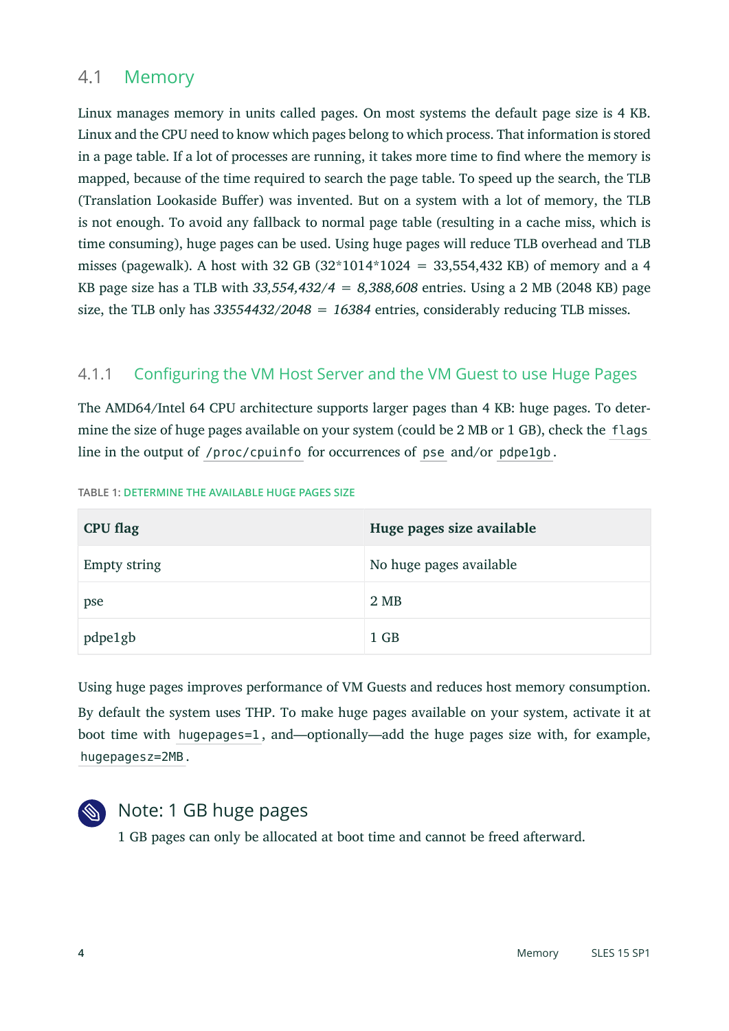# 4.1 Memory

Linux manages memory in units called pages. On most systems the default page size is 4 KB. Linux and the CPU need to know which pages belong to which process. That information is stored in a page table. If a lot of processes are running, it takes more time to find where the memory is mapped, because of the time required to search the page table. To speed up the search, the TLB (Translation Lookaside Buffer) was invented. But on a system with a lot of memory, the TLB is not enough. To avoid any fallback to normal page table (resulting in a cache miss, which is time consuming), huge pages can be used. Using huge pages will reduce TLB overhead and TLB misses (pagewalk). A host with 32 GB (32\*1014\*1024 = 33,554,432 KB) of memory and a 4 KB page size has a TLB with *33,554,432/4 = 8,388,608* entries. Using a 2 MB (2048 KB) page size, the TLB only has *33554432/2048 = 16384* entries, considerably reducing TLB misses.

## 4.1.1 Configuring the VM Host Server and the VM Guest to use Huge Pages

The AMD64/Intel 64 CPU architecture supports larger pages than 4 KB: huge pages. To determine the size of huge pages available on your system (could be 2 MB or 1 GB), check the flags line in the output of /proc/cpuinfo for occurrences of pse and/or pdpe1gb .

| <b>CPU flag</b>     | Huge pages size available |
|---------------------|---------------------------|
| <b>Empty string</b> | No huge pages available   |
| pse                 | 2 MB                      |
| pdpe1gb             | $1$ GB                    |

**TABLE 1: DETERMINE THE AVAILABLE HUGE PAGES SIZE**

Using huge pages improves performance of VM Guests and reduces host memory consumption. By default the system uses THP. To make huge pages available on your system, activate it at boot time with hugepages=1 , and—optionally—add the huge pages size with, for example, hugepagesz=2MB .



# Note: 1 GB huge pages

1 GB pages can only be allocated at boot time and cannot be freed afterward.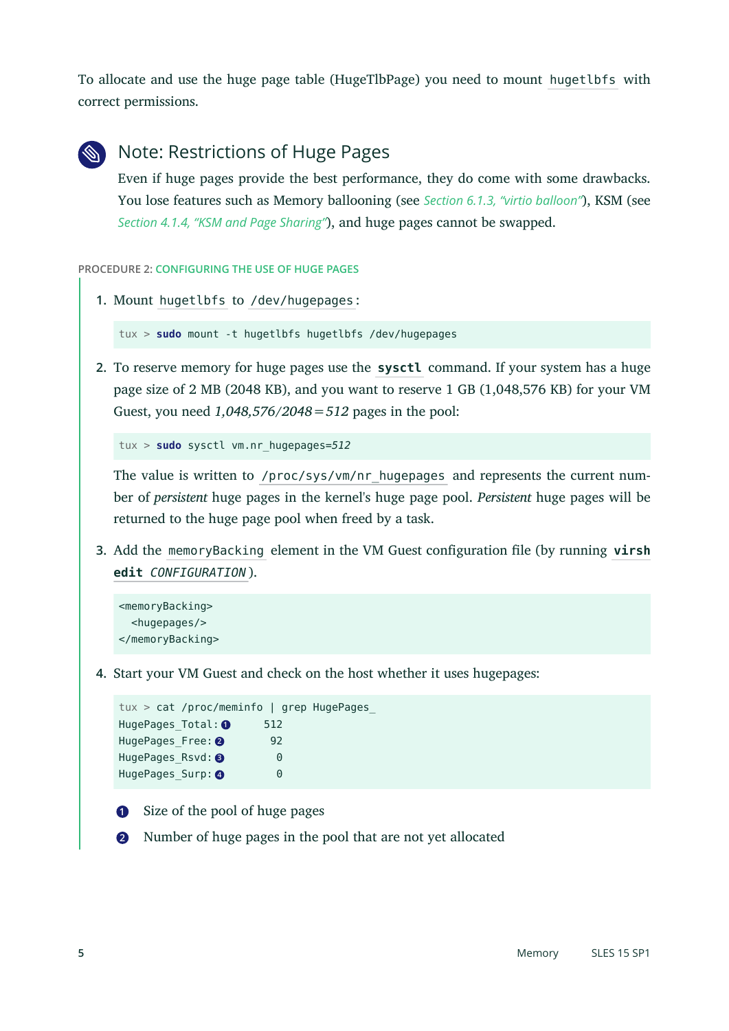To allocate and use the huge page table (HugeTlbPage) you need to mount hugetlbfs with correct permissions.



# Note: Restrictions of Huge Pages

Even if huge pages provide the best performance, they do come with some drawbacks. You lose features such as Memory ballooning (see *[Section 6.1.3, "virtio balloon"](#page-36-0)*), KSM (see *[Section 4.1.4, "KSM and Page Sharing"](#page-6-0)*), and huge pages cannot be swapped.

#### **PROCEDURE 2: CONFIGURING THE USE OF HUGE PAGES**

```
1. Mount hugetlbfs to /dev/hugepages :
```
tux > **sudo** mount -t hugetlbfs hugetlbfs /dev/hugepages

**2.** To reserve memory for huge pages use the **sysctl** command. If your system has a huge page size of 2 MB (2048 KB), and you want to reserve 1 GB (1,048,576 KB) for your VM Guest, you need *1,048,576/2048=512* pages in the pool:

```
tux > sudo sysctl vm.nr_hugepages=512
```
The value is written to /proc/sys/vm/nr\_hugepages\_and represents the current number of *persistent* huge pages in the kernel's huge page pool. *Persistent* huge pages will be returned to the huge page pool when freed by a task.

**3.** Add the memoryBacking element in the VM Guest configuration file (by running **virsh**) **edit** *CONFIGURATION* ).

```
<memoryBacking>
   <hugepages/>
</memoryBacking>
```
**4.** Start your VM Guest and check on the host whether it uses hugepages:

```
tux > cat /proc/meminfo | grep HugePages_
HugePages Total: 0 512
HugePages_Free: <sup>2</sup> 92
HugePages Rsvd: 3 0
HugePages Surp: 4 0
```
- <span id="page-4-3"></span>**[1](#page-4-0)** Size of the pool of huge pages
- **[2](#page-4-1)** Number of huge pages in the pool that are not yet allocated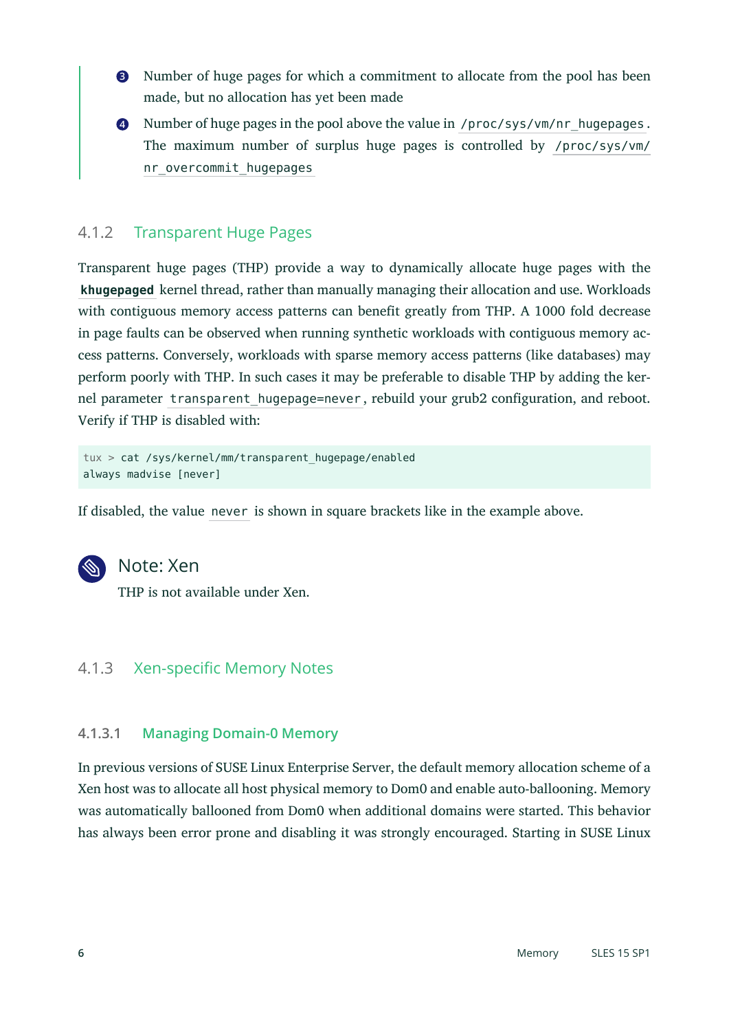- **[3](#page-4-2)** Number of huge pages for which a commitment to allocate from the pool has been made, but no allocation has yet been made
- **[4](#page-4-3)** Number of huge pages in the pool above the value in /proc/sys/vm/nr\_hugepages . The maximum number of surplus huge pages is controlled by /proc/sys/vm/ nr overcommit hugepages

### 4.1.2 Transparent Huge Pages

Transparent huge pages (THP) provide a way to dynamically allocate huge pages with the **khugepaged** kernel thread, rather than manually managing their allocation and use. Workloads with contiguous memory access patterns can benefit greatly from THP. A 1000 fold decrease in page faults can be observed when running synthetic workloads with contiguous memory access patterns. Conversely, workloads with sparse memory access patterns (like databases) may perform poorly with THP. In such cases it may be preferable to disable THP by adding the kernel parameter transparent hugepage=never, rebuild your grub2 configuration, and reboot. Verify if THP is disabled with:

```
tux > cat /sys/kernel/mm/transparent_hugepage/enabled
always madvise [never]
```
If disabled, the value never is shown in square brackets like in the example above.



## Note: Xen

THP is not available under Xen.

### 4.1.3 Xen-specific Memory Notes

#### **4.1.3.1 Managing Domain-0 Memory**

In previous versions of SUSE Linux Enterprise Server, the default memory allocation scheme of a Xen host was to allocate all host physical memory to Dom0 and enable auto-ballooning. Memory was automatically ballooned from Dom0 when additional domains were started. This behavior has always been error prone and disabling it was strongly encouraged. Starting in SUSE Linux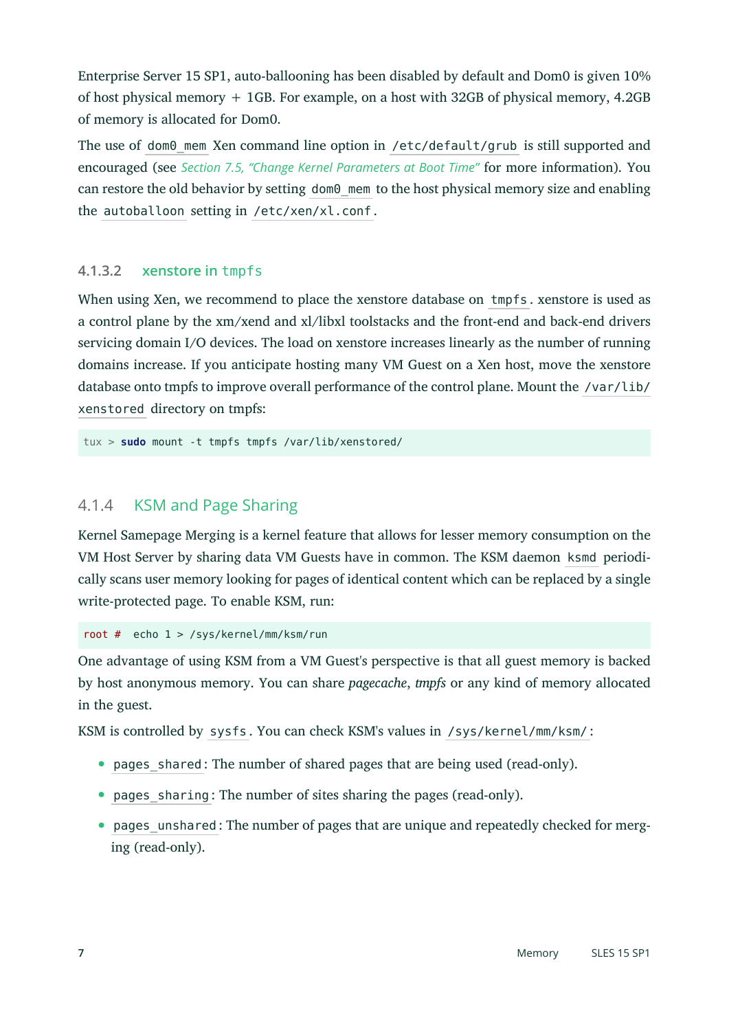Enterprise Server 15 SP1, auto-ballooning has been disabled by default and Dom0 is given 10% of host physical memory + 1GB. For example, on a host with 32GB of physical memory, 4.2GB of memory is allocated for Dom0.

The use of dom0 mem Xen command line option in /etc/default/grub is still supported and encouraged (see *Section 7.5, "Change Kernel [Parameters](#page-43-0) at Boot Time"* for more information). You can restore the old behavior by setting dom0 mem to the host physical memory size and enabling the autoballoon setting in /etc/xen/xl.conf .

#### **4.1.3.2 xenstore in** tmpfs

When using Xen, we recommend to place the xenstore database on tmpfs . xenstore is used as a control plane by the xm/xend and xl/libxl toolstacks and the front-end and back-end drivers servicing domain I/O devices. The load on xenstore increases linearly as the number of running domains increase. If you anticipate hosting many VM Guest on a Xen host, move the xenstore database onto tmpfs to improve overall performance of the control plane. Mount the /var/lib/ xenstored directory on tmpfs:

<span id="page-6-0"></span>tux > **sudo** mount -t tmpfs tmpfs /var/lib/xenstored/

### 4.1.4 KSM and Page Sharing

Kernel Samepage Merging is a kernel feature that allows for lesser memory consumption on the VM Host Server by sharing data VM Guests have in common. The KSM daemon ksmd periodically scans user memory looking for pages of identical content which can be replaced by a single write-protected page. To enable KSM, run:

root # echo 1 > /sys/kernel/mm/ksm/run

One advantage of using KSM from a VM Guest's perspective is that all guest memory is backed by host anonymous memory. You can share *pagecache*, *tmpfs* or any kind of memory allocated in the guest.

KSM is controlled by sysfs . You can check KSM's values in /sys/kernel/mm/ksm/ :

- pages shared : The number of shared pages that are being used (read-only).
- pages sharing: The number of sites sharing the pages (read-only).
- pages unshared : The number of pages that are unique and repeatedly checked for merging (read-only).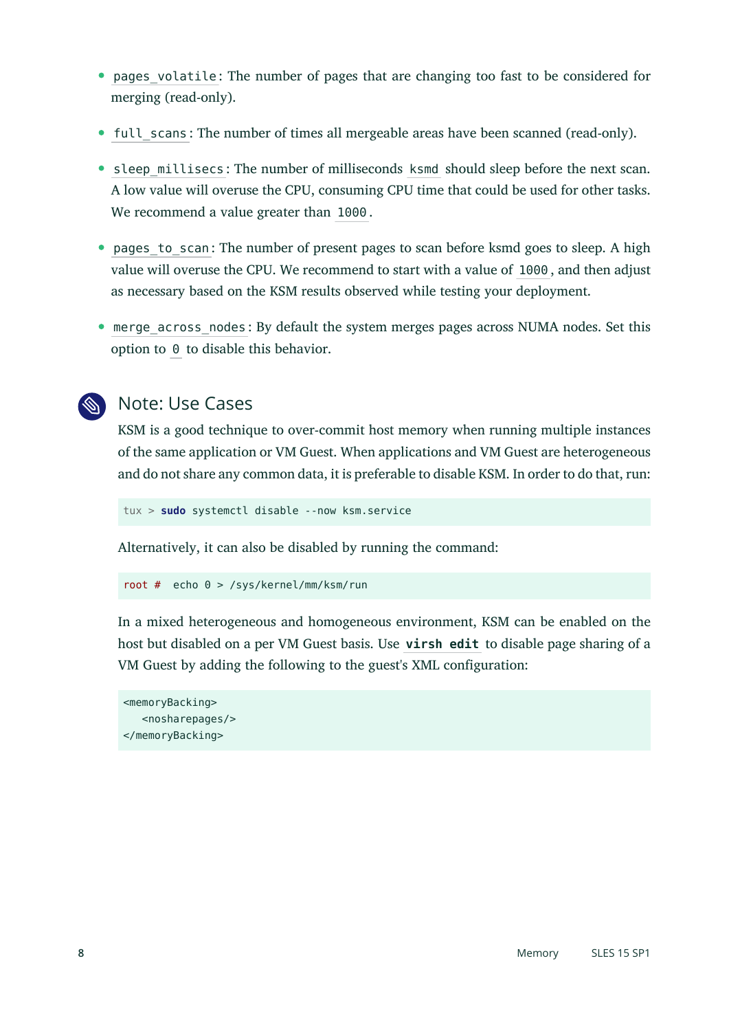- pages volatile: The number of pages that are changing too fast to be considered for merging (read-only).
- full scans: The number of times all mergeable areas have been scanned (read-only).
- sleep millisecs: The number of milliseconds ksmd should sleep before the next scan. A low value will overuse the CPU, consuming CPU time that could be used for other tasks. We recommend a value greater than 1000 .
- pages to scan: The number of present pages to scan before ksmd goes to sleep. A high value will overuse the CPU. We recommend to start with a value of 1000 , and then adjust as necessary based on the KSM results observed while testing your deployment.
- merge across nodes : By default the system merges pages across NUMA nodes. Set this option to 0 to disable this behavior.



# Note: Use Cases

KSM is a good technique to over-commit host memory when running multiple instances of the same application or VM Guest. When applications and VM Guest are heterogeneous and do not share any common data, it is preferable to disable KSM. In order to do that, run:

tux > **sudo** systemctl disable --now ksm.service

Alternatively, it can also be disabled by running the command:

```
root # echo 0 > /sys/kernel/mm/ksm/run
```
In a mixed heterogeneous and homogeneous environment, KSM can be enabled on the host but disabled on a per VM Guest basis. Use **virsh edit** to disable page sharing of a VM Guest by adding the following to the guest's XML configuration:

```
<memoryBacking>
    <nosharepages/>
</memoryBacking>
```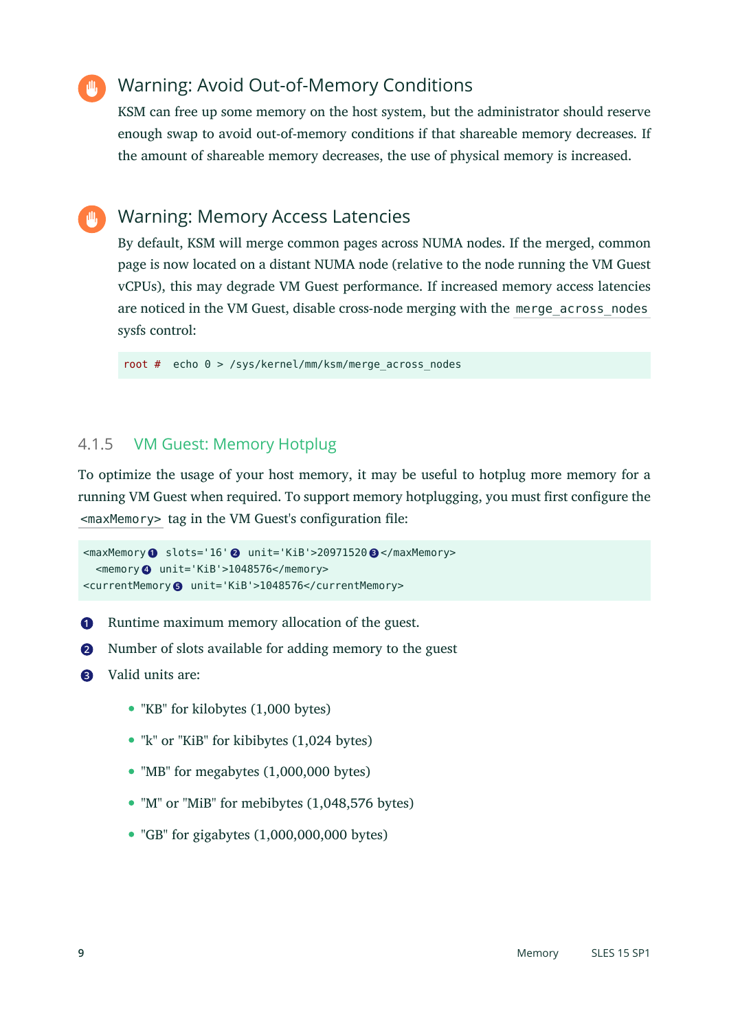# Warning: Avoid Out-of-Memory Conditions

KSM can free up some memory on the host system, but the administrator should reserve enough swap to avoid out-of-memory conditions if that shareable memory decreases. If the amount of shareable memory decreases, the use of physical memory is increased.

# Warning: Memory Access Latencies

By default, KSM will merge common pages across NUMA nodes. If the merged, common page is now located on a distant NUMA node (relative to the node running the VM Guest vCPUs), this may degrade VM Guest performance. If increased memory access latencies are noticed in the VM Guest, disable cross-node merging with the merge\_across\_nodes sysfs control:

root  $#$  echo  $0$  > /sys/kernel/mm/ksm/merge across nodes

## 4.1.5 VM Guest: Memory Hotplug

To optimize the usage of your host memory, it may be useful to hotplug more memory for a running VM Guest when required. To support memory hotplugging, you must first configure the <maxMemory> tag in the VM Guest's configuration file:

```
<maxMemory 1 slots='16' 2 unit='KiB'>20971520 3 </maxMemory>
  <memory 4 unit='KiB'>1048576</memory>
<currentMemory 5 unit='KiB'>1048576</currentMemory>
```
- **[1](#page-8-0)** Runtime maximum memory allocation of the guest.
- **[2](#page-8-1)** Number of slots available for adding memory to the guest
- **[3](#page-8-2)** Valid units are:
	- "KB" for kilobytes (1,000 bytes)
	- "k" or "KiB" for kibibytes (1,024 bytes)
	- "MB" for megabytes (1,000,000 bytes)
	- "M" or "MiB" for mebibytes (1,048,576 bytes)
	- $\bullet$  "GB" for gigabytes  $(1,000,000,000)$  bytes)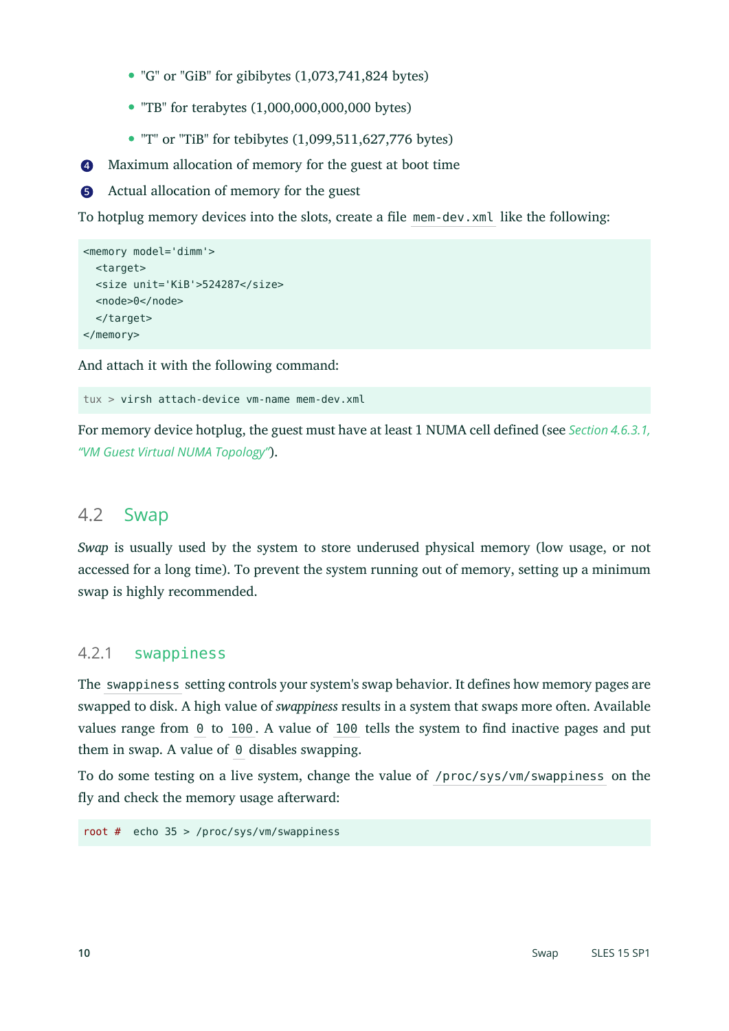- "G" or "GiB" for gibibytes (1,073,741,824 bytes)
- $\bullet$  "TB" for terabytes  $(1,000,000,000,000)$  bytes)
- $\bullet$  "T" or "TiB" for tebibytes  $(1,099,511,627,776$  bytes)
- **[4](#page-8-3)** Maximum allocation of memory for the guest at boot time



To hotplug memory devices into the slots, create a file mem-dev.xml like the following:

```
<memory model='dimm'>
   <target>
  <size unit='KiB'>524287</size>
   <node>0</node>
   </target>
</memory>
```
And attach it with the following command:

tux > virsh attach-device vm-name mem-dev.xml

For memory device hotplug, the guest must have at least 1 NUMA cell defined (see *[Section 4.6.3.1,](#page-22-0) "VM Guest Virtual NUMA [Topology"](#page-22-0)*).

#### 4.2 Swap

*Swap* is usually used by the system to store underused physical memory (low usage, or not accessed for a long time). To prevent the system running out of memory, setting up a minimum swap is highly recommended.

#### 4.2.1 swappiness

The swappiness setting controls your system's swap behavior. It defines how memory pages are swapped to disk. A high value of *swappiness* results in a system that swaps more often. Available values range from  $\theta$  to 100. A value of 100 tells the system to find inactive pages and put them in swap. A value of  $\theta$  disables swapping.

To do some testing on a live system, change the value of /proc/sys/vm/swappiness on the fly and check the memory usage afterward:

root # echo 35 > /proc/sys/vm/swappiness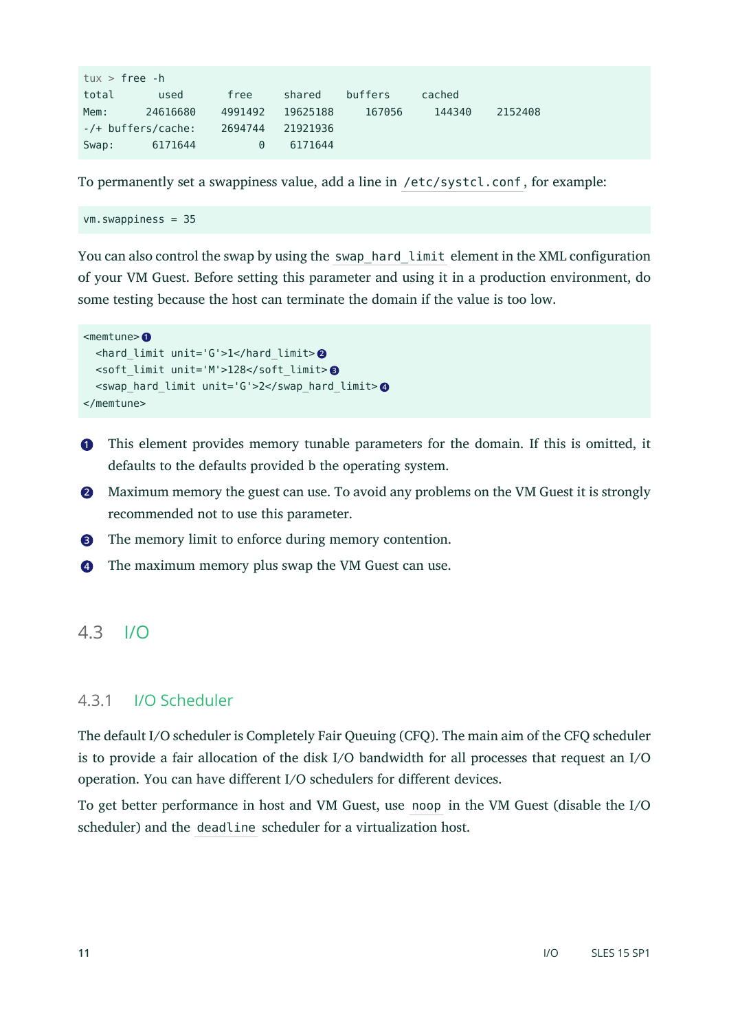| $tux$ > free -h    |          |          |          |         |        |         |
|--------------------|----------|----------|----------|---------|--------|---------|
| total              | used     | free     | shared   | buffers | cached |         |
| Mem:               | 24616680 | 4991492  | 19625188 | 167056  | 144340 | 2152408 |
| -/+ buffers/cache: |          | 2694744  | 21921936 |         |        |         |
| Swap:              | 6171644  | $\Theta$ | 6171644  |         |        |         |

To permanently set a swappiness value, add a line in /etc/systcl.conf , for example:

vm.swappiness = 35

You can also control the swap by using the swap hard limit element in the XML configuration of your VM Guest. Before setting this parameter and using it in a production environment, do some testing because the host can terminate the domain if the value is too low.

```
<memtune> 1
  <hard_limit unit='G'>1</hard_limit> 2
  <soft_limit unit='M'>128</soft_limit> 3
  <swap_hard_limit unit='G'>2</swap_hard_limit> 4
</memtune>
```
- **[1](#page-10-0)** This element provides memory tunable parameters for the domain. If this is omitted, it defaults to the defaults provided b the operating system.
- **[2](#page-10-1)** Maximum memory the guest can use. To avoid any problems on the VM Guest it is strongly recommended not to use this parameter.
- **[3](#page-10-2)** The memory limit to enforce during memory contention.
- **[4](#page-10-3)** The maximum memory plus swap the VM Guest can use.

# 4.3 I/O

#### 4.3.1 I/O Scheduler

The default I/O scheduler is Completely Fair Queuing (CFQ). The main aim of the CFQ scheduler is to provide a fair allocation of the disk I/O bandwidth for all processes that request an I/O operation. You can have different I/O schedulers for different devices.

To get better performance in host and VM Guest, use noop in the VM Guest (disable the I/O scheduler) and the deadline scheduler for a virtualization host.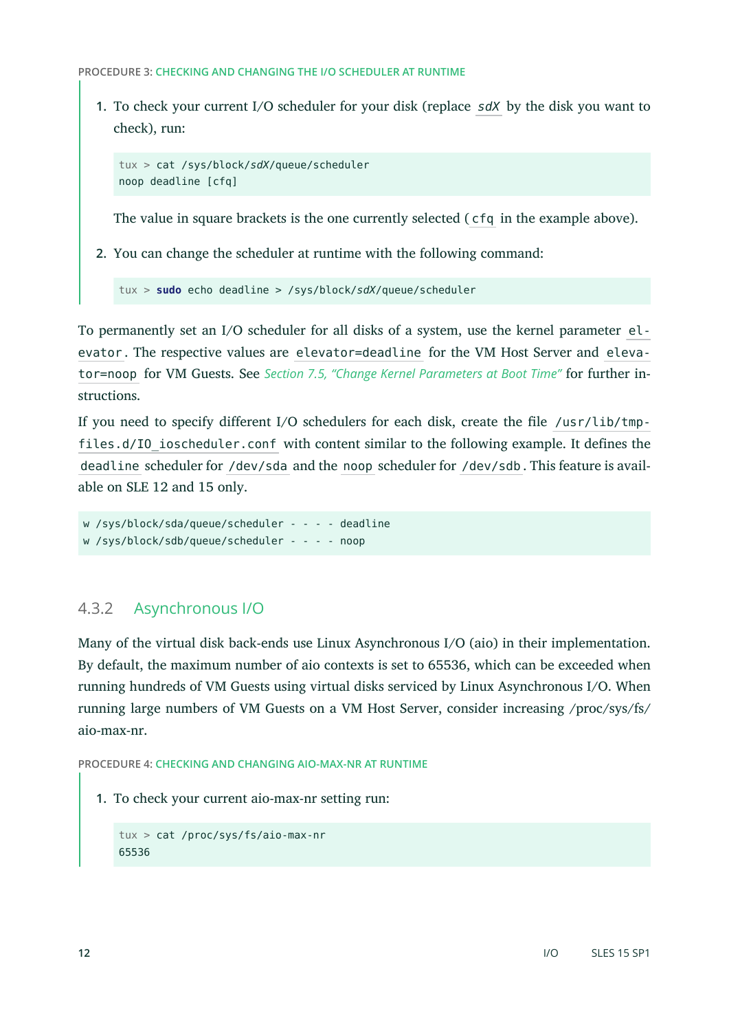**PROCEDURE 3: CHECKING AND CHANGING THE I/O SCHEDULER AT RUNTIME**

**1.** To check your current I/O scheduler for your disk (replace *sdX* by the disk you want to check), run:

```
tux > cat /sys/block/sdX/queue/scheduler
noop deadline [cfq]
```
The value in square brackets is the one currently selected ( cfq in the example above).

**2.** You can change the scheduler at runtime with the following command:

tux > **sudo** echo deadline > /sys/block/*sdX*/queue/scheduler

To permanently set an I/O scheduler for all disks of a system, use the kernel parameter elevator . The respective values are elevator=deadline for the VM Host Server and elevator=noop for VM Guests. See *Section 7.5, "Change Kernel [Parameters](#page-43-0) at Boot Time"* for further instructions.

If you need to specify different I/O schedulers for each disk, create the file /usr/lib/tmpfiles.d/IO ioscheduler.conf with content similar to the following example. It defines the deadline scheduler for /dev/sda and the noop scheduler for /dev/sdb . This feature is available on SLE 12 and 15 only.

```
w /sys/block/sda/queue/scheduler - - - - deadline
w /sys/block/sdb/queue/scheduler - - - - noop
```
### 4.3.2 Asynchronous I/O

Many of the virtual disk back-ends use Linux Asynchronous I/O (aio) in their implementation. By default, the maximum number of aio contexts is set to 65536, which can be exceeded when running hundreds of VM Guests using virtual disks serviced by Linux Asynchronous I/O. When running large numbers of VM Guests on a VM Host Server, consider increasing /proc/sys/fs/ aio-max-nr.

**PROCEDURE 4: CHECKING AND CHANGING AIO-MAX-NR AT RUNTIME**

**1.** To check your current aio-max-nr setting run:

```
tux > cat /proc/sys/fs/aio-max-nr
65536
```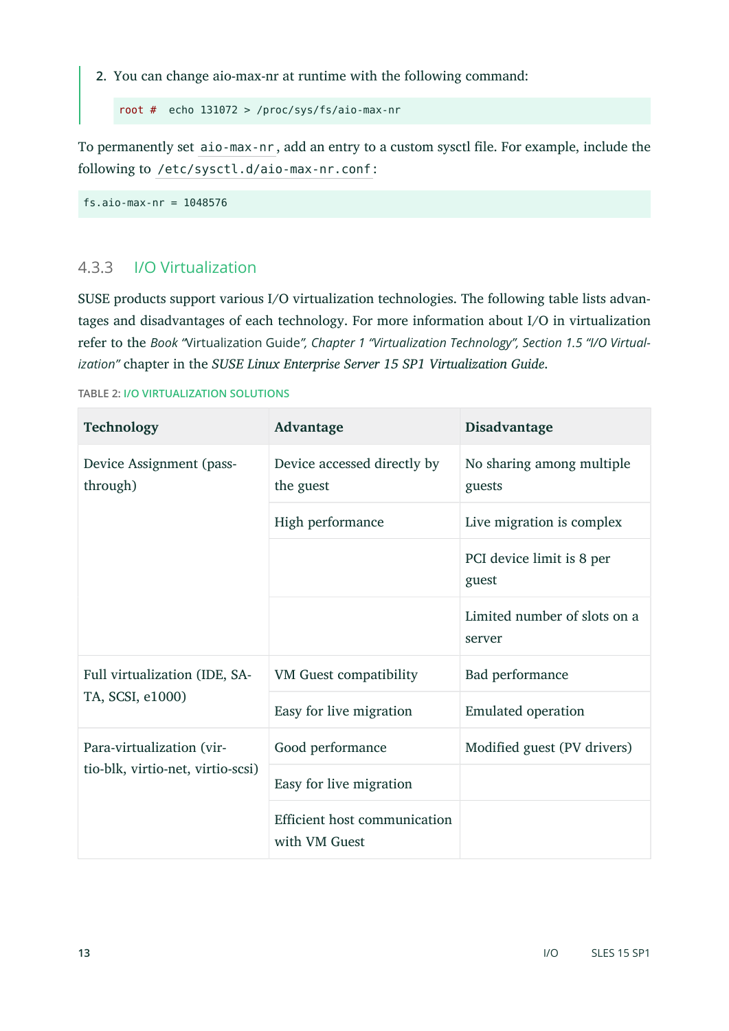**2.** You can change aio-max-nr at runtime with the following command:

root # echo 131072 > /proc/sys/fs/aio-max-nr

To permanently set aio-max-nr, add an entry to a custom sysctl file. For example, include the following to /etc/sysctl.d/aio-max-nr.conf :

fs.aio-max-nr = 1048576

### 4.3.3 I/O Virtualization

SUSE products support various I/O virtualization technologies. The following table lists advantages and disadvantages of each technology. For more information about I/O in virtualization refer to the *Book "*Virtualization Guide*", Chapter 1 "Virtualization Technology", Section 1.5 "I/O Virtualization"* chapter in the *SUSE Linux Enterprise Server 15 SP1 Virtualization Guide*.

**TABLE 2: I/O VIRTUALIZATION SOLUTIONS**

| Technology                           | Advantage                                     | Disadvantage                           |
|--------------------------------------|-----------------------------------------------|----------------------------------------|
| Device Assignment (pass-<br>through) | Device accessed directly by<br>the guest      | No sharing among multiple<br>guests    |
|                                      | High performance                              | Live migration is complex              |
|                                      |                                               | PCI device limit is 8 per<br>guest     |
|                                      |                                               | Limited number of slots on a<br>server |
| Full virtualization (IDE, SA-        | <b>VM Guest compatibility</b>                 | Bad performance                        |
| TA, SCSI, e1000)                     | Easy for live migration                       | <b>Emulated operation</b>              |
| Para-virtualization (vir-            | Good performance                              | Modified guest (PV drivers)            |
| tio-blk, virtio-net, virtio-scsi)    | Easy for live migration                       |                                        |
|                                      | Efficient host communication<br>with VM Guest |                                        |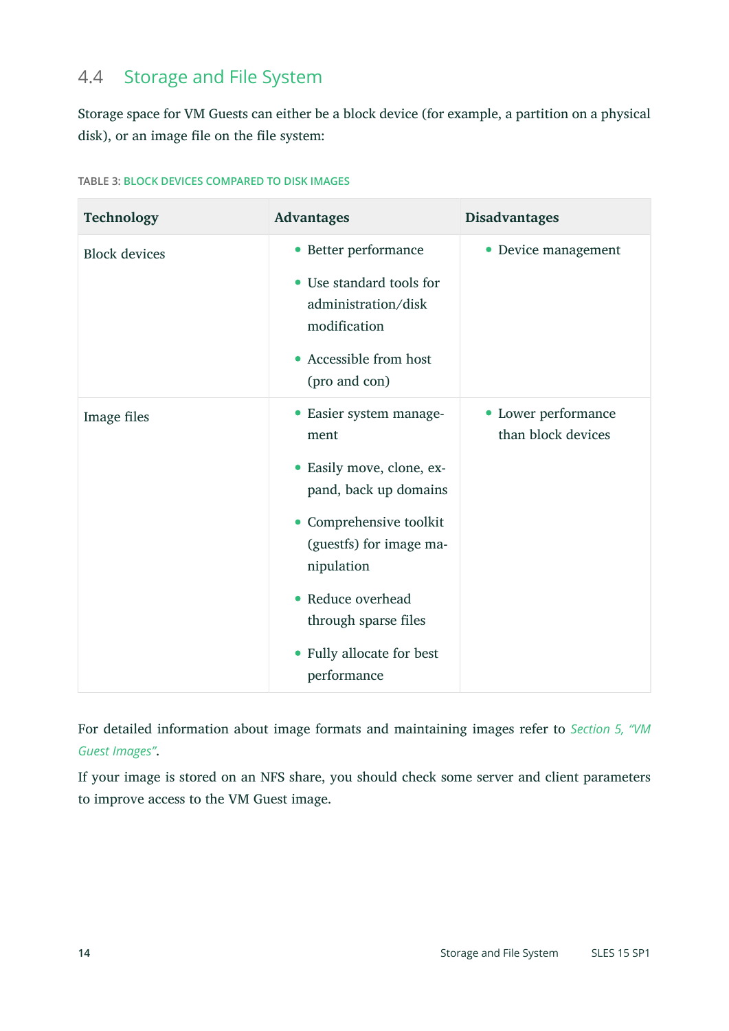# 4.4 Storage and File System

Storage space for VM Guests can either be a block device (for example, a partition on a physical disk), or an image file on the file system:

| Technology           | <b>Advantages</b>                                                                                                                                                                                                                                                         | <b>Disadvantages</b>                      |
|----------------------|---------------------------------------------------------------------------------------------------------------------------------------------------------------------------------------------------------------------------------------------------------------------------|-------------------------------------------|
| <b>Block devices</b> | • Better performance<br>Use standard tools for<br>$\bullet$<br>administration/disk<br>modification<br>Accessible from host<br>$\bullet$<br>(pro and con)                                                                                                                  | Device management<br>$\bullet$            |
| Image files          | • Easier system manage-<br>ment<br>Easily move, clone, ex-<br>٠<br>pand, back up domains<br>Comprehensive toolkit<br>(guestfs) for image ma-<br>nipulation<br>Reduce overhead<br>$\bullet$<br>through sparse files<br>Fully allocate for best<br>$\bullet$<br>performance | • Lower performance<br>than block devices |

For detailed information about image formats and maintaining images refer to *[Section](#page-24-0) 5, "VM [Guest Images"](#page-24-0)*.

If your image is stored on an NFS share, you should check some server and client parameters to improve access to the VM Guest image.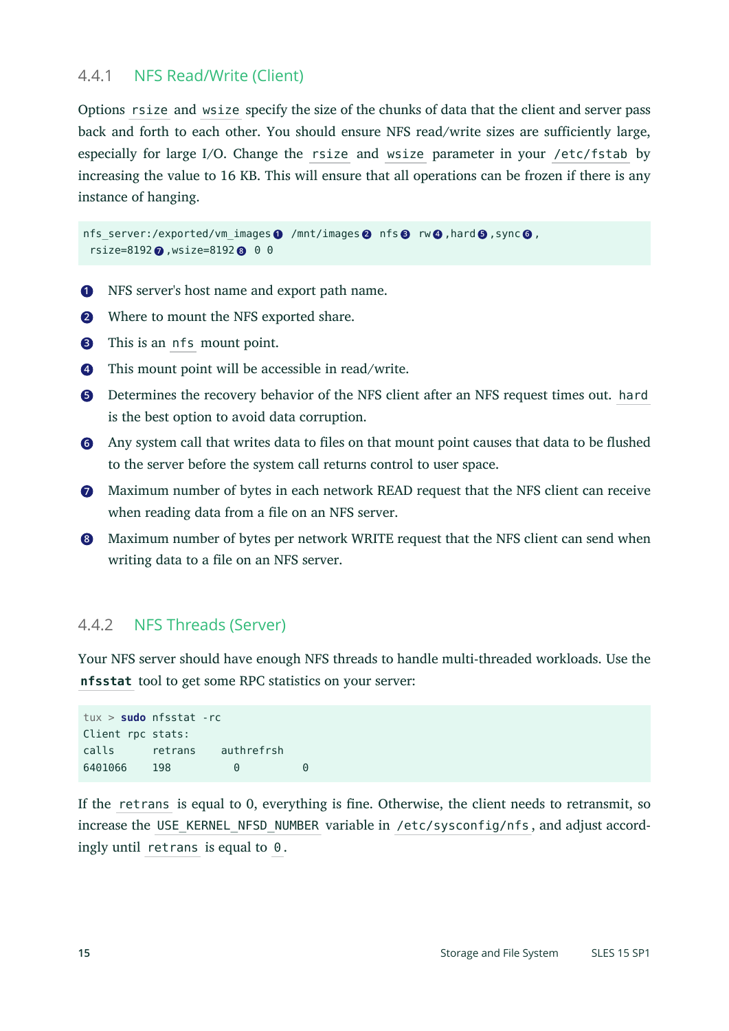#### 4.4.1 NFS Read/Write (Client)

Options rsize and wsize specify the size of the chunks of data that the client and server pass back and forth to each other. You should ensure NFS read/write sizes are sufficiently large, especially for large I/O. Change the rsize and wsize parameter in your /etc/fstab by increasing the value to 16 KB. This will ensure that all operations can be frozen if there is any instance of hanging.

```
nfs_server:/exported/vm_images 1 /mnt/images 2 nfs 3 rw 4 ,hard 5 ,sync 6 ,
  rsize=8192 7 ,wsize=8192 8 0 0
```
- **[1](#page-14-0)** NFS server's host name and export path name.
- **[2](#page-14-1)** Where to mount the NFS exported share.
- **[3](#page-14-2)** This is an nfs mount point.
- **[4](#page-14-3)** This mount point will be accessible in read/write.
- **[5](#page-14-4)** Determines the recovery behavior of the NFS client after an NFS request times out. hard is the best option to avoid data corruption.
- **[6](#page-14-5)** Any system call that writes data to files on that mount point causes that data to be flushed to the server before the system call returns control to user space.
- **[7](#page-14-6)** Maximum number of bytes in each network READ request that the NFS client can receive when reading data from a file on an NFS server.
- **[8](#page-14-7)** Maximum number of bytes per network WRITE request that the NFS client can send when writing data to a file on an NFS server.

#### 4.4.2 NFS Threads (Server)

Your NFS server should have enough NFS threads to handle multi-threaded workloads. Use the **nfsstat** tool to get some RPC statistics on your server:

```
tux > sudo nfsstat -rc
Client rpc stats:
calls retrans authrefrsh
6401066 198 0 0
```
If the retrans is equal to 0, everything is fine. Otherwise, the client needs to retransmit, so increase the USE\_KERNEL\_NFSD\_NUMBER\_variable in /etc/sysconfig/nfs, and adjust accordingly until retrans is equal to 0 .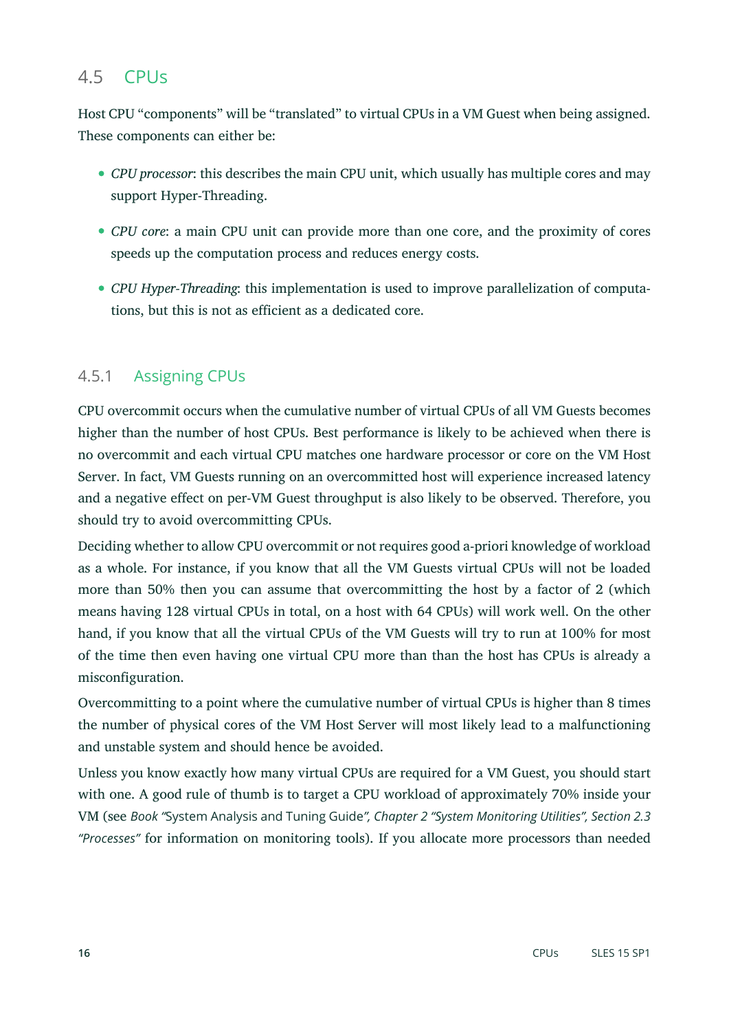# 4.5 CPUs

Host CPU "components" will be "translated" to virtual CPUs in a VM Guest when being assigned. These components can either be:

- *CPU processor*: this describes the main CPU unit, which usually has multiple cores and may support Hyper-Threading.
- *CPU core*: a main CPU unit can provide more than one core, and the proximity of cores speeds up the computation process and reduces energy costs.
- *CPU Hyper-Threading*: this implementation is used to improve parallelization of computations, but this is not as efficient as a dedicated core.

# 4.5.1 Assigning CPUs

CPU overcommit occurs when the cumulative number of virtual CPUs of all VM Guests becomes higher than the number of host CPUs. Best performance is likely to be achieved when there is no overcommit and each virtual CPU matches one hardware processor or core on the VM Host Server. In fact, VM Guests running on an overcommitted host will experience increased latency and a negative effect on per-VM Guest throughput is also likely to be observed. Therefore, you should try to avoid overcommitting CPUs.

Deciding whether to allow CPU overcommit or not requires good a-priori knowledge of workload as a whole. For instance, if you know that all the VM Guests virtual CPUs will not be loaded more than 50% then you can assume that overcommitting the host by a factor of 2 (which means having 128 virtual CPUs in total, on a host with 64 CPUs) will work well. On the other hand, if you know that all the virtual CPUs of the VM Guests will try to run at 100% for most of the time then even having one virtual CPU more than than the host has CPUs is already a misconfiguration.

Overcommitting to a point where the cumulative number of virtual CPUs is higher than 8 times the number of physical cores of the VM Host Server will most likely lead to a malfunctioning and unstable system and should hence be avoided.

Unless you know exactly how many virtual CPUs are required for a VM Guest, you should start with one. A good rule of thumb is to target a CPU workload of approximately 70% inside your VM (see *Book "*System Analysis and Tuning Guide*", Chapter 2 "System Monitoring Utilities", Section 2.3 "Processes"* for information on monitoring tools). If you allocate more processors than needed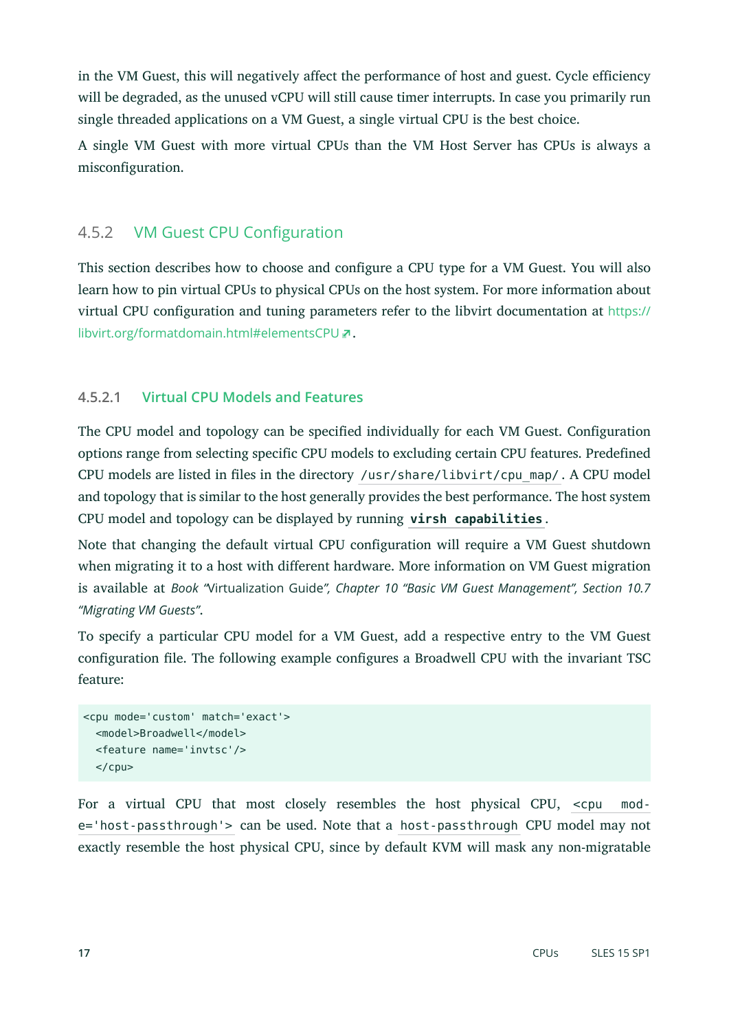in the VM Guest, this will negatively affect the performance of host and guest. Cycle efficiency will be degraded, as the unused vCPU will still cause timer interrupts. In case you primarily run single threaded applications on a VM Guest, a single virtual CPU is the best choice.

A single VM Guest with more virtual CPUs than the VM Host Server has CPUs is always a misconfiguration.

# 4.5.2 VM Guest CPU Configuration

This section describes how to choose and configure a CPU type for a VM Guest. You will also learn how to pin virtual CPUs to physical CPUs on the host system. For more information about virtual CPU configuration and tuning parameters refer to the libvirt documentation at [https://](https://libvirt.org/formatdomain.html#elementsCPU) [libvirt.org/formatdomain.html#elementsCPU](https://libvirt.org/formatdomain.html#elementsCPU) .

### **4.5.2.1 Virtual CPU Models and Features**

The CPU model and topology can be specified individually for each VM Guest. Configuration options range from selecting specific CPU models to excluding certain CPU features. Predefined CPU models are listed in files in the directory /usr/share/libvirt/cpu\_map/. A CPU model and topology that is similar to the host generally provides the best performance. The host system CPU model and topology can be displayed by running **virsh capabilities** .

Note that changing the default virtual CPU configuration will require a VM Guest shutdown when migrating it to a host with different hardware. More information on VM Guest migration is available at *Book "*Virtualization Guide*", Chapter 10 "Basic VM Guest Management", Section 10.7 "Migrating VM Guests"*.

To specify a particular CPU model for a VM Guest, add a respective entry to the VM Guest configuration file. The following example configures a Broadwell CPU with the invariant TSC feature:

```
<cpu mode='custom' match='exact'>
  <model>Broadwell</model>
  <feature name='invtsc'/>
 </cpu>
```
For a virtual CPU that most closely resembles the host physical CPU, <cpu mode='host-passthrough'> can be used. Note that a host-passthrough CPU model may not exactly resemble the host physical CPU, since by default KVM will mask any non-migratable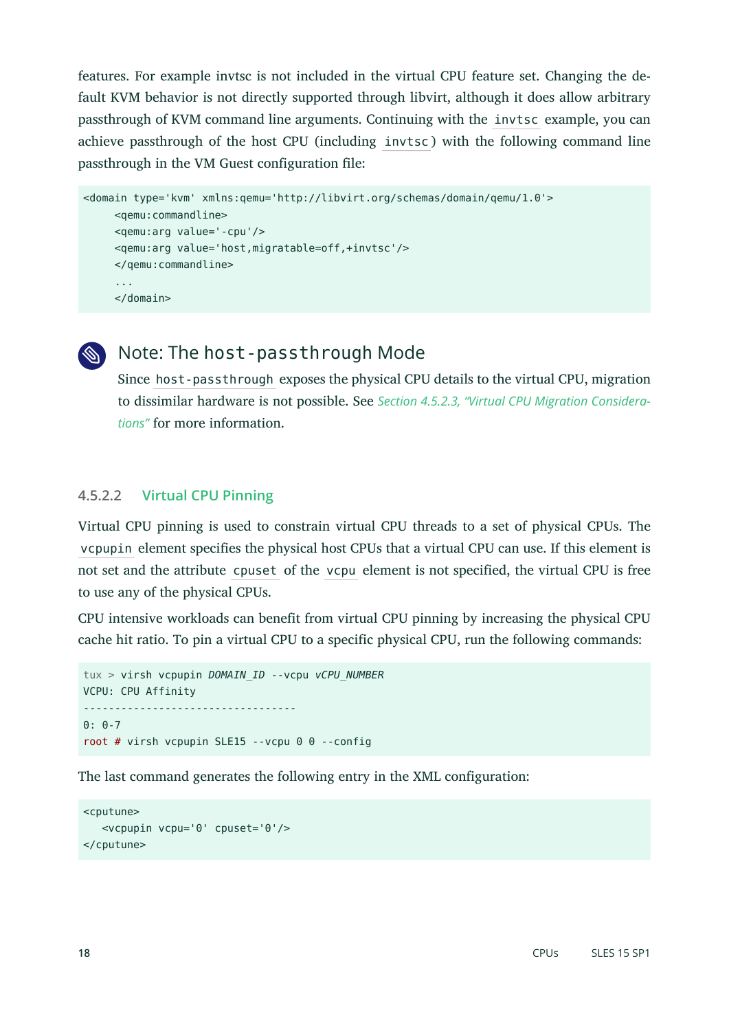features. For example invtsc is not included in the virtual CPU feature set. Changing the default KVM behavior is not directly supported through libvirt, although it does allow arbitrary passthrough of KVM command line arguments. Continuing with the invtsc example, you can achieve passthrough of the host CPU (including invtsc ) with the following command line passthrough in the VM Guest configuration file:

```
<domain type='kvm' xmlns:qemu='http://libvirt.org/schemas/domain/qemu/1.0'>
      <qemu:commandline>
      <qemu:arg value='-cpu'/>
      <qemu:arg value='host,migratable=off,+invtsc'/>
      </qemu:commandline>
      ...
      </domain>
```


# Note: The host-passthrough Mode

Since host-passthrough exposes the physical CPU details to the virtual CPU, migration to dissimilar hardware is not possible. See *[Section 4.5.2.3, "Virtual CPU Migration Considera](#page-18-0)[tions"](#page-18-0)* for more information.

#### **4.5.2.2 Virtual CPU Pinning**

Virtual CPU pinning is used to constrain virtual CPU threads to a set of physical CPUs. The vcpupin element specifies the physical host CPUs that a virtual CPU can use. If this element is not set and the attribute cpuset of the vcpu element is not specified, the virtual CPU is free to use any of the physical CPUs.

CPU intensive workloads can benefit from virtual CPU pinning by increasing the physical CPU cache hit ratio. To pin a virtual CPU to a specific physical CPU, run the following commands:

```
tux > virsh vcpupin DOMAIN_ID --vcpu vCPU_NUMBER
VCPU: CPU Affinity
----------------------------------
0: 0-7root # virsh vcpupin SLE15 --vcpu 0 0 --config
```
The last command generates the following entry in the XML configuration:

```
<cputune>
    <vcpupin vcpu='0' cpuset='0'/>
</cputune>
```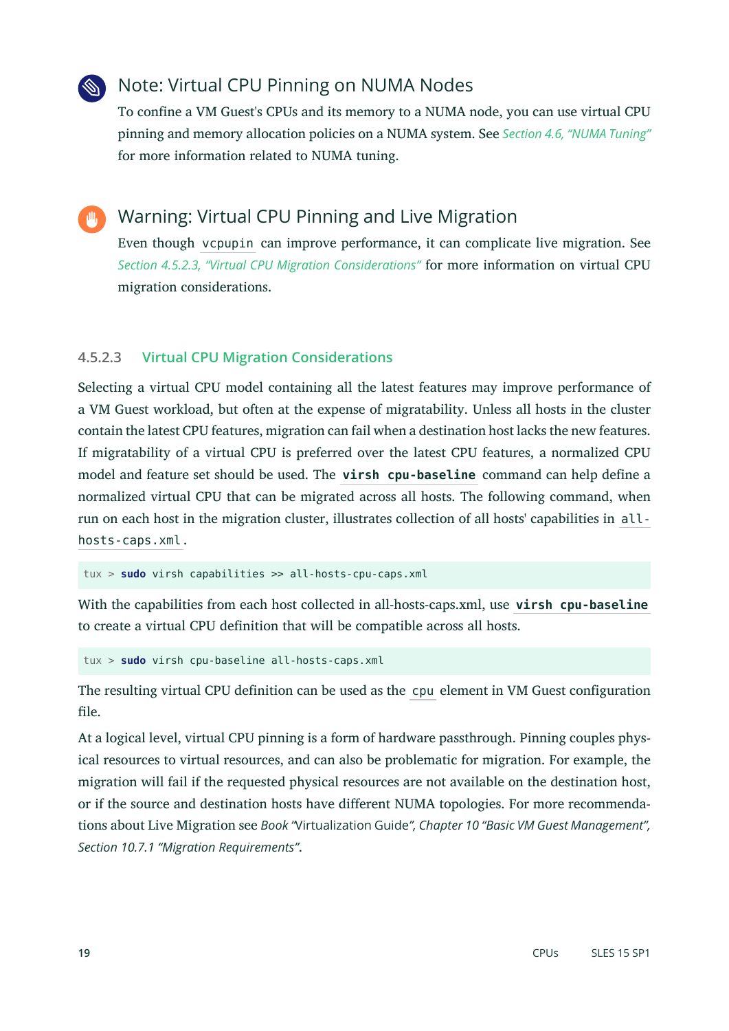# Note: Virtual CPU Pinning on NUMA Nodes

To confine a VM Guest's CPUs and its memory to a NUMA node, you can use virtual CPU pinning and memory allocation policies on a NUMA system. See *[Section 4.6, "NUMA Tuning"](#page-19-0)* for more information related to NUMA tuning.

Warning: Virtual CPU Pinning and Live Migration

Even though vcpupin can improve performance, it can complicate live migration. See *[Section 4.5.2.3, "Virtual CPU Migration Considerations"](#page-18-0)* for more information on virtual CPU migration considerations.

### <span id="page-18-0"></span>**4.5.2.3 Virtual CPU Migration Considerations**

Selecting a virtual CPU model containing all the latest features may improve performance of a VM Guest workload, but often at the expense of migratability. Unless all hosts in the cluster contain the latest CPU features, migration can fail when a destination host lacks the new features. If migratability of a virtual CPU is preferred over the latest CPU features, a normalized CPU model and feature set should be used. The **virsh cpu-baseline** command can help define a normalized virtual CPU that can be migrated across all hosts. The following command, when run on each host in the migration cluster, illustrates collection of all hosts' capabilities in allhosts-caps.xml .

tux > **sudo** virsh capabilities >> all-hosts-cpu-caps.xml

With the capabilities from each host collected in all-hosts-caps.xml, use **virsh cpu-baseline** to create a virtual CPU definition that will be compatible across all hosts.

tux > **sudo** virsh cpu-baseline all-hosts-caps.xml

The resulting virtual CPU definition can be used as the cpu element in VM Guest configuration file.

At a logical level, virtual CPU pinning is a form of hardware passthrough. Pinning couples physical resources to virtual resources, and can also be problematic for migration. For example, the migration will fail if the requested physical resources are not available on the destination host, or if the source and destination hosts have different NUMA topologies. For more recommendations about Live Migration see *Book "*Virtualization Guide*", Chapter 10 "Basic VM Guest Management", Section 10.7.1 "Migration Requirements"*.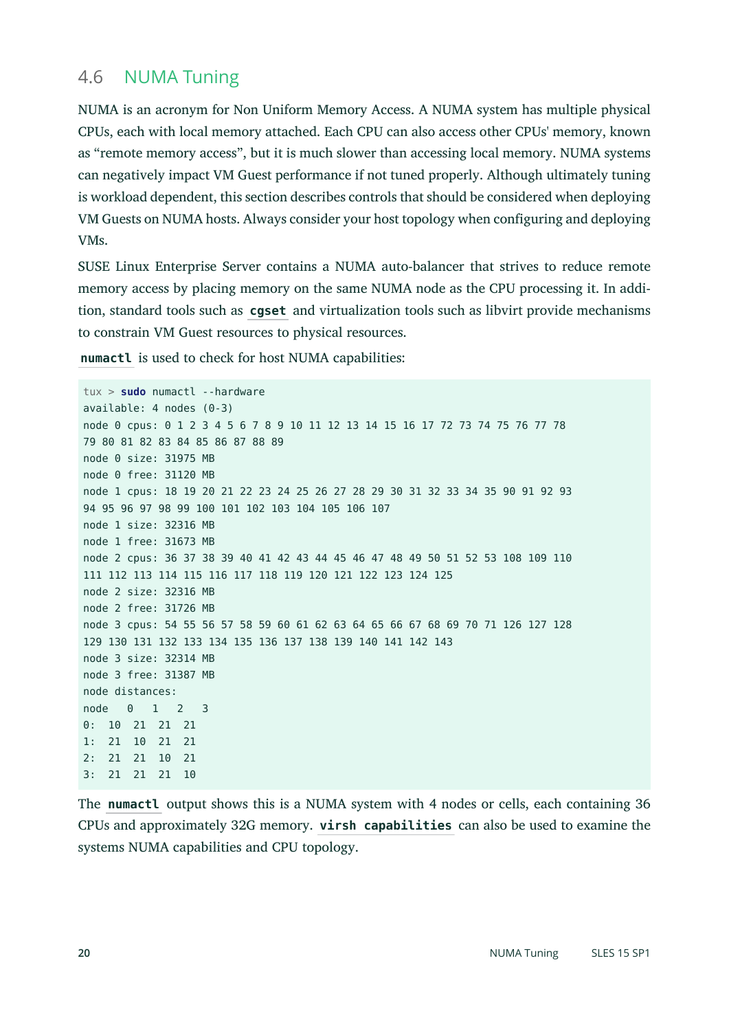# <span id="page-19-0"></span>4.6 NUMA Tuning

NUMA is an acronym for Non Uniform Memory Access. A NUMA system has multiple physical CPUs, each with local memory attached. Each CPU can also access other CPUs' memory, known as "remote memory access", but it is much slower than accessing local memory. NUMA systems can negatively impact VM Guest performance if not tuned properly. Although ultimately tuning is workload dependent, this section describes controls that should be considered when deploying VM Guests on NUMA hosts. Always consider your host topology when configuring and deploying VMs.

SUSE Linux Enterprise Server contains a NUMA auto-balancer that strives to reduce remote memory access by placing memory on the same NUMA node as the CPU processing it. In addition, standard tools such as **cgset** and virtualization tools such as libvirt provide mechanisms to constrain VM Guest resources to physical resources.

**numactl** is used to check for host NUMA capabilities:

tux > **sudo** numactl --hardware available: 4 nodes (0-3) node 0 cpus: 0 1 2 3 4 5 6 7 8 9 10 11 12 13 14 15 16 17 72 73 74 75 76 77 78 79 80 81 82 83 84 85 86 87 88 89 node 0 size: 31975 MB node 0 free: 31120 MB node 1 cpus: 18 19 20 21 22 23 24 25 26 27 28 29 30 31 32 33 34 35 90 91 92 93 94 95 96 97 98 99 100 101 102 103 104 105 106 107 node 1 size: 32316 MB node 1 free: 31673 MB node 2 cpus: 36 37 38 39 40 41 42 43 44 45 46 47 48 49 50 51 52 53 108 109 110 111 112 113 114 115 116 117 118 119 120 121 122 123 124 125 node 2 size: 32316 MB node 2 free: 31726 MB node 3 cpus: 54 55 56 57 58 59 60 61 62 63 64 65 66 67 68 69 70 71 126 127 128 129 130 131 132 133 134 135 136 137 138 139 140 141 142 143 node 3 size: 32314 MB node 3 free: 31387 MB node distances: node 0 1 2 3 0: 10 21 21 21 1: 21 10 21 21 2: 21 21 10 21 3: 21 21 21 10

The **numactl** output shows this is a NUMA system with 4 nodes or cells, each containing 36 CPUs and approximately 32G memory. **virsh capabilities** can also be used to examine the systems NUMA capabilities and CPU topology.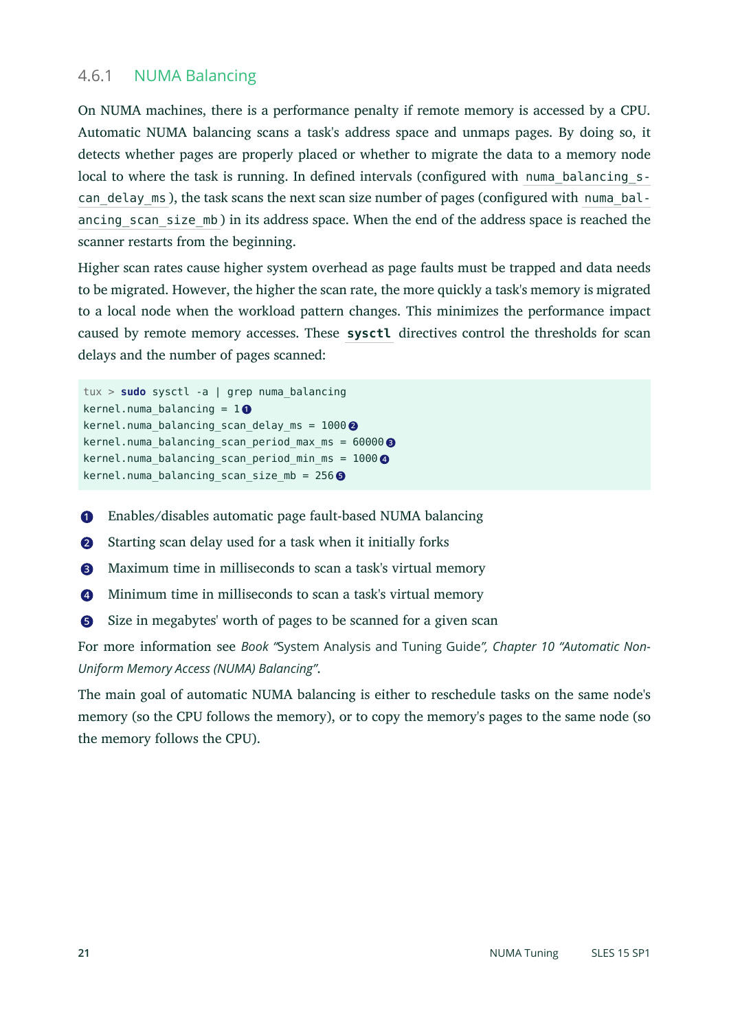#### 4.6.1 NUMA Balancing

On NUMA machines, there is a performance penalty if remote memory is accessed by a CPU. Automatic NUMA balancing scans a task's address space and unmaps pages. By doing so, it detects whether pages are properly placed or whether to migrate the data to a memory node local to where the task is running. In defined intervals (configured with numa balancing scan delay ms ), the task scans the next scan size number of pages (configured with numa balancing scan size mb) in its address space. When the end of the address space is reached the scanner restarts from the beginning.

Higher scan rates cause higher system overhead as page faults must be trapped and data needs to be migrated. However, the higher the scan rate, the more quickly a task's memory is migrated to a local node when the workload pattern changes. This minimizes the performance impact caused by remote memory accesses. These **sysctl** directives control the thresholds for scan delays and the number of pages scanned:

```
tux > sudo sysctl -a | grep numa_balancing
kernel.numa balancing = 10kernel.numa_balancing_scan_delay_ms = 1000 2
kernel.numa_balancing_scan_period_max_ms = 60000 3
kernel.numa_balancing_scan_period_min_ms = 1000 4
kernel.numa_balancing_scan_size_mb = 256 5
```
- <span id="page-20-4"></span>**[1](#page-20-0)** Enables/disables automatic page fault-based NUMA balancing
- **[2](#page-20-1)** Starting scan delay used for a task when it initially forks
- **[3](#page-20-2)** Maximum time in milliseconds to scan a task's virtual memory
- **[4](#page-20-3)** Minimum time in milliseconds to scan a task's virtual memory
- **[5](#page-20-4)** Size in megabytes' worth of pages to be scanned for a given scan

For more information see *Book "*System Analysis and Tuning Guide*", Chapter 10 "Automatic Non-Uniform Memory Access (NUMA) Balancing"*.

The main goal of automatic NUMA balancing is either to reschedule tasks on the same node's memory (so the CPU follows the memory), or to copy the memory's pages to the same node (so the memory follows the CPU).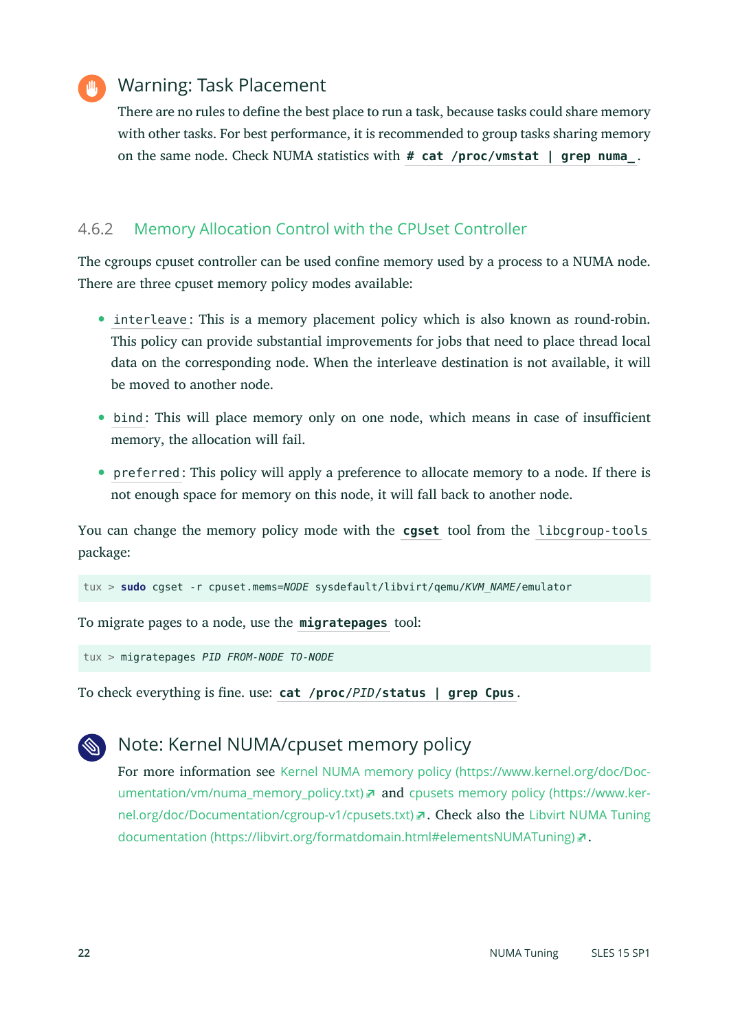

# Warning: Task Placement

There are no rules to define the best place to run a task, because tasks could share memory with other tasks. For best performance, it is recommended to group tasks sharing memory on the same node. Check NUMA statistics with **# cat /proc/vmstat | grep numa\_** .

### 4.6.2 Memory Allocation Control with the CPUset Controller

The cgroups cpuset controller can be used confine memory used by a process to a NUMA node. There are three cpuset memory policy modes available:

- interleave: This is a memory placement policy which is also known as round-robin. This policy can provide substantial improvements for jobs that need to place thread local data on the corresponding node. When the interleave destination is not available, it will be moved to another node.
- bind : This will place memory only on one node, which means in case of insufficient memory, the allocation will fail.
- preferred : This policy will apply a preference to allocate memory to a node. If there is not enough space for memory on this node, it will fall back to another node.

You can change the memory policy mode with the **cgset** tool from the libcgroup-tools package:

tux > **sudo** cgset -r cpuset.mems=*NODE* sysdefault/libvirt/qemu/*KVM\_NAME*/emulator

To migrate pages to a node, use the **migratepages** tool:

tux > migratepages *PID FROM-NODE TO-NODE*

To check everything is fine. use: cat /proc/*PID*/status | grep Cpus.

# Note: Kernel NUMA/cpuset memory policy

For more information see [Kernel NUMA memory policy \(https://www.kernel.org/doc/Doc](https://www.kernel.org/doc/Documentation/vm/numa_memory_policy.txt)[umentation/vm/numa\\_memory\\_policy.txt\)](https://www.kernel.org/doc/Documentation/vm/numa_memory_policy.txt) **and** [cpusets memory policy \(https://www.ker](https://www.kernel.org/doc/Documentation/cgroup-v1/cpusets.txt)[nel.org/doc/Documentation/cgroup-v1/cpusets.txt\)](https://www.kernel.org/doc/Documentation/cgroup-v1/cpusets.txt) **7. Check also the [Libvirt NUMA Tuning](https://libvirt.org/formatdomain.html#elementsNUMATuning)** [documentation \(https://libvirt.org/formatdomain.html#elementsNUMATuning\)](https://libvirt.org/formatdomain.html#elementsNUMATuning) .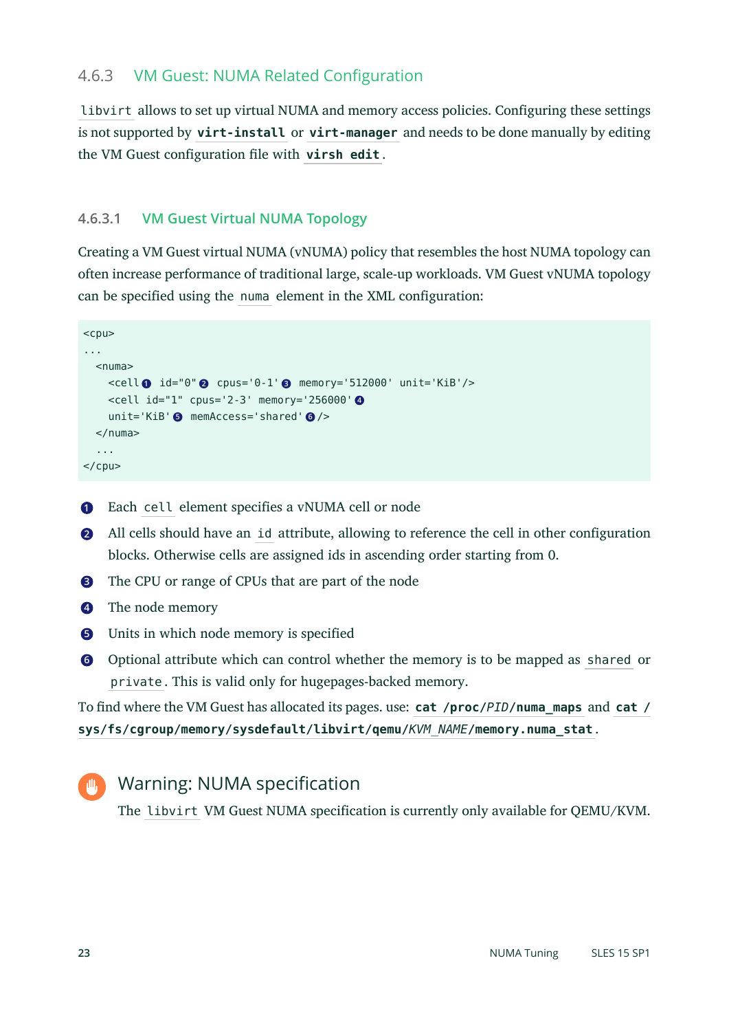### 4.6.3 VM Guest: NUMA Related Configuration

libvirt allows to set up virtual NUMA and memory access policies. Configuring these settings is not supported by **virt-install** or **virt-manager** and needs to be done manually by editing the VM Guest configuration file with virsh edit.

#### <span id="page-22-0"></span>**4.6.3.1 VM Guest Virtual NUMA Topology**

Creating a VM Guest virtual NUMA (vNUMA) policy that resembles the host NUMA topology can often increase performance of traditional large, scale-up workloads. VM Guest vNUMA topology can be specified using the numa element in the XML configuration:

```
<cpu>
...
 <numa> <cell 1 id="0" 2 cpus='0-1' 3 memory='512000' unit='KiB'/>
     <cell id="1" cpus='2-3' memory='256000' 4
     unit='KiB' 5 memAccess='shared' 6 />
  \lt/numa> ...
</cpu>
```
**[1](#page-22-1)** Each cell element specifies a vNUMA cell or node

- **[2](#page-22-2)** All cells should have an id attribute, allowing to reference the cell in other configuration blocks. Otherwise cells are assigned ids in ascending order starting from 0.
- **[3](#page-22-3)** The CPU or range of CPUs that are part of the node
- **[4](#page-22-4)** The node memory
- **[5](#page-22-5)** Units in which node memory is specified
- **[6](#page-22-6)** Optional attribute which can control whether the memory is to be mapped as shared or private . This is valid only for hugepages-backed memory.

To find where the VM Guest has allocated its pages. use: **cat** /**proc**/*PID*/**numa\_maps** and **cat** / **sys/fs/cgroup/memory/sysdefault/libvirt/qemu/***KVM\_NAME***/memory.numa\_stat** .

```
Warning: NUMA specification
```
The libvirt VM Guest NUMA specification is currently only available for QEMU/KVM.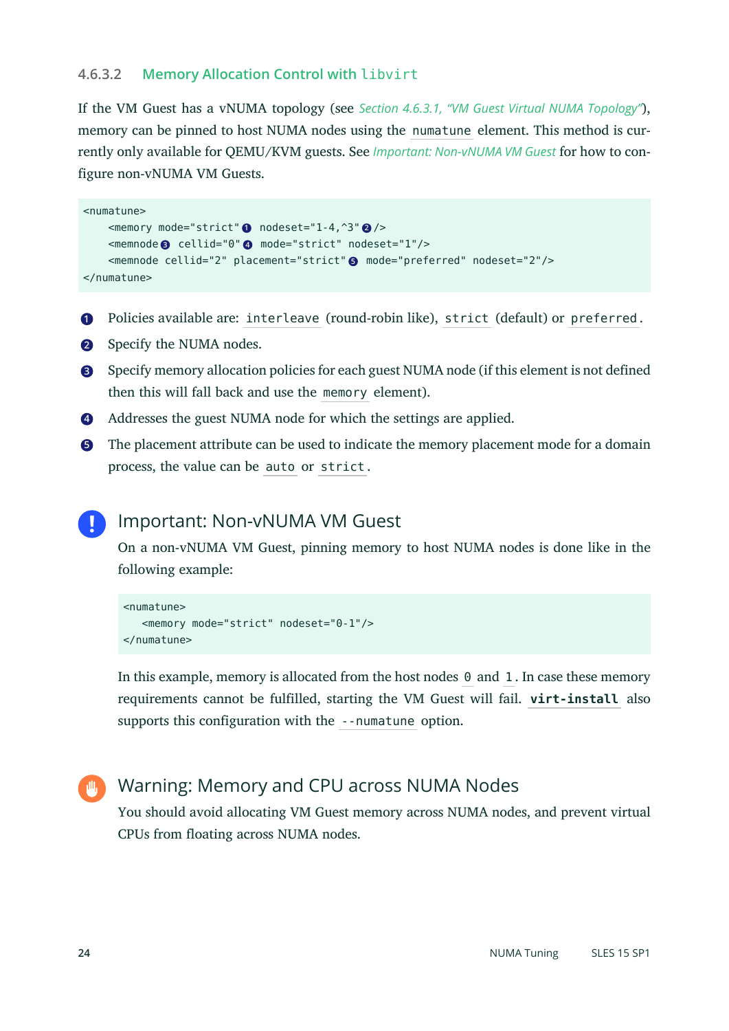#### **4.6.3.2 Memory Allocation Control with** libvirt

If the VM Guest has a vNUMA topology (see *Section 4.6.3.1, "VM Guest Virtual NUMA [Topology"](#page-22-0)*), memory can be pinned to host NUMA nodes using the numatune element. This method is currently only available for QEMU/KVM guests. See *[Important: Non-vNUMA VM Guest](#page-23-0)* for how to configure non-vNUMA VM Guests.

```
<numatune>
    <memory mode="strict" 1 nodeset="1-4,^3" 2 />
     <memnode 3 cellid="0" 4 mode="strict" nodeset="1"/>
     <memnode cellid="2" placement="strict" 5 mode="preferred" nodeset="2"/>
</numatune>
```
- **[1](#page-23-1)** Policies available are: interleave (round-robin like), strict (default) or preferred .
- **[2](#page-23-2)** Specify the NUMA nodes.
- **[3](#page-23-3)** Specify memory allocation policies for each guest NUMA node (if this element is not defined then this will fall back and use the memory element).
- **[4](#page-23-4)** Addresses the guest NUMA node for which the settings are applied.
- **[5](#page-23-5)** The placement attribute can be used to indicate the memory placement mode for a domain process, the value can be auto or strict .

#### <span id="page-23-0"></span>Important: Non-vNUMA VM Guest

On a non-vNUMA VM Guest, pinning memory to host NUMA nodes is done like in the following example:

```
<numatune>
    <memory mode="strict" nodeset="0-1"/>
</numatune>
```
In this example, memory is allocated from the host nodes 0 and 1 . In case these memory requirements cannot be fulfilled, starting the VM Guest will fail. **virt-install** also supports this configuration with the --numatune option.



# Warning: Memory and CPU across NUMA Nodes

You should avoid allocating VM Guest memory across NUMA nodes, and prevent virtual CPUs from floating across NUMA nodes.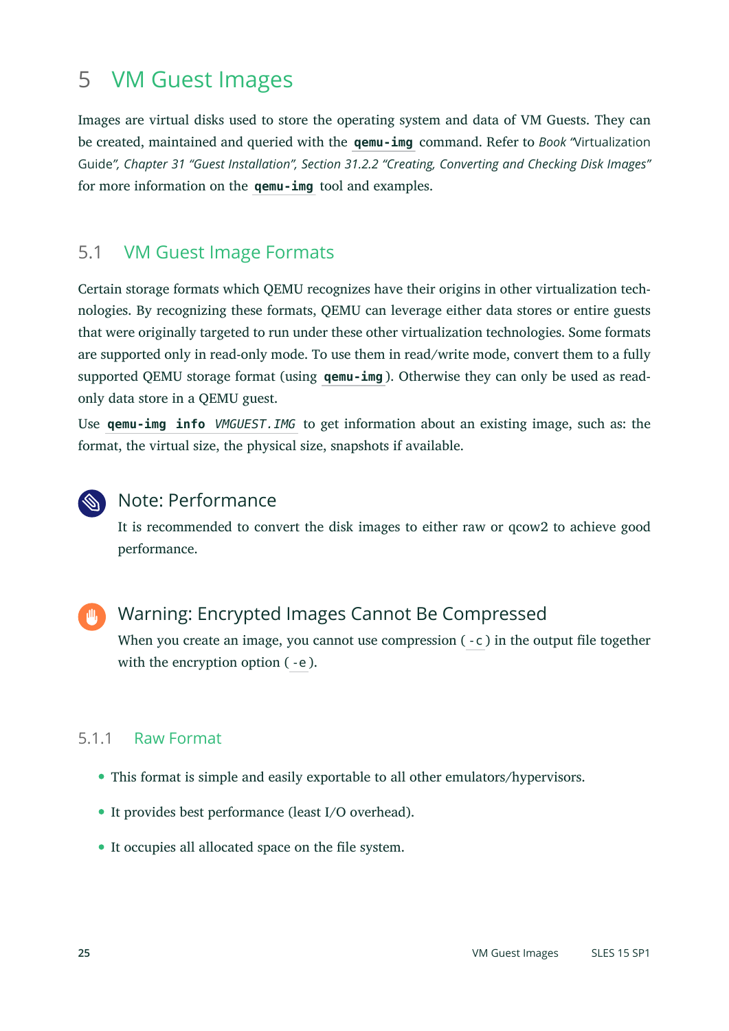# <span id="page-24-0"></span>5 VM Guest Images

Images are virtual disks used to store the operating system and data of VM Guests. They can be created, maintained and queried with the **qemu-img** command. Refer to *Book "*Virtualization Guide*", Chapter 31 "Guest Installation", Section 31.2.2 "Creating, Converting and Checking Disk Images"* for more information on the **qemu-img** tool and examples.

# 5.1 VM Guest Image Formats

Certain storage formats which QEMU recognizes have their origins in other virtualization technologies. By recognizing these formats, QEMU can leverage either data stores or entire guests that were originally targeted to run under these other virtualization technologies. Some formats are supported only in read-only mode. To use them in read/write mode, convert them to a fully supported QEMU storage format (using **qemu-img** ). Otherwise they can only be used as readonly data store in a QEMU guest.

Use **qemu-img info** *VMGUEST.IMG* to get information about an existing image, such as: the format, the virtual size, the physical size, snapshots if available.



# Note: Performance

It is recommended to convert the disk images to either raw or qcow2 to achieve good performance.



# Warning: Encrypted Images Cannot Be Compressed

When you create an image, you cannot use compression  $(-c)$  in the output file together with the encryption option ( -e ).

#### 5.1.1 Raw Format

- This format is simple and easily exportable to all other emulators/hypervisors.
- It provides best performance (least I/O overhead).
- $\bullet$  It occupies all allocated space on the file system.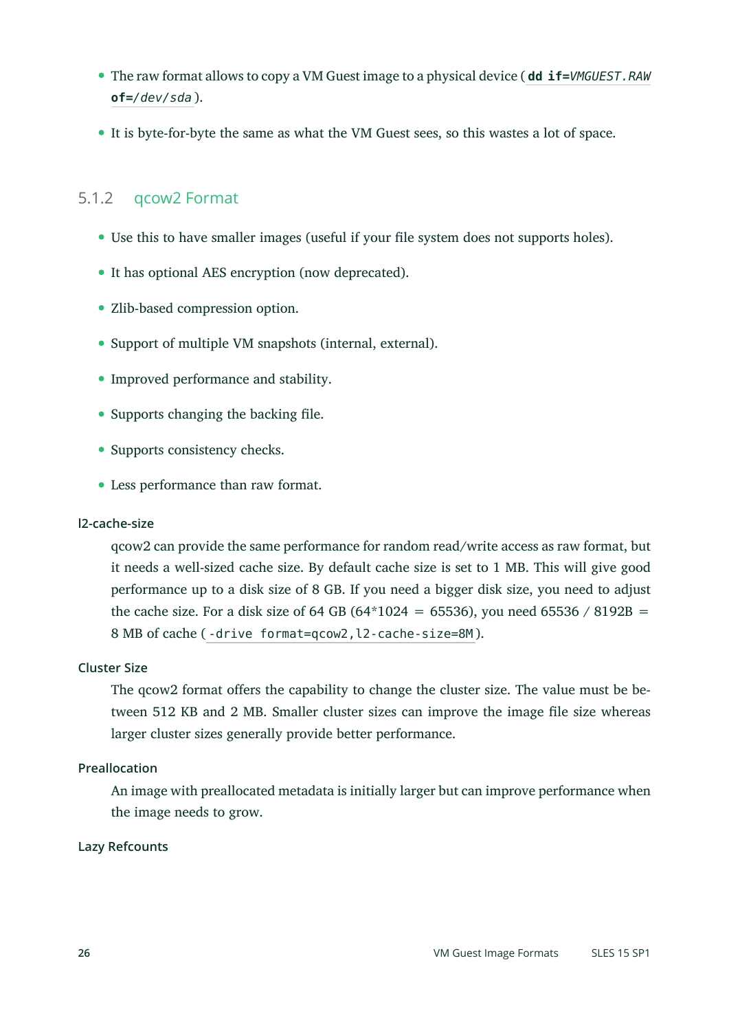- The raw format allows to copy a VM Guest image to a physical device ( **dd if=***VMGUEST.RAW* **of=***/dev/sda* ).
- It is byte-for-byte the same as what the VM Guest sees, so this wastes a lot of space.

#### 5.1.2 qcow2 Format

- Use this to have smaller images (useful if your file system does not supports holes).
- It has optional AES encryption (now deprecated).
- Zlib-based compression option.
- Support of multiple VM snapshots (internal, external).
- Improved performance and stability.
- $\bullet$  Supports changing the backing file.
- Supports consistency checks.
- Less performance than raw format.

#### **l2-cache-size**

qcow2 can provide the same performance for random read/write access as raw format, but it needs a well-sized cache size. By default cache size is set to 1 MB. This will give good performance up to a disk size of 8 GB. If you need a bigger disk size, you need to adjust the cache size. For a disk size of 64 GB (64\*1024 = 65536), you need 65536 / 8192B = 8 MB of cache (-drive format=qcow2, l2-cache-size=8M).

#### **Cluster Size**

The qcow2 format offers the capability to change the cluster size. The value must be between 512 KB and 2 MB. Smaller cluster sizes can improve the image file size whereas larger cluster sizes generally provide better performance.

#### **Preallocation**

An image with preallocated metadata is initially larger but can improve performance when the image needs to grow.

#### **Lazy Refcounts**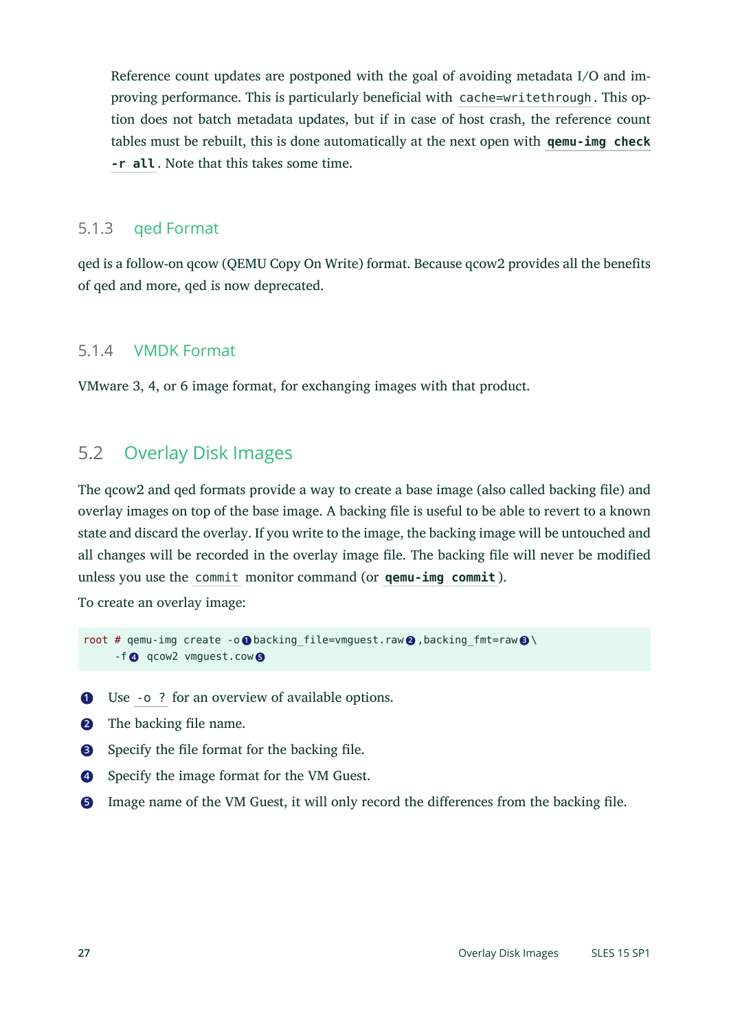Reference count updates are postponed with the goal of avoiding metadata I/O and improving performance. This is particularly beneficial with cache=writethrough . This option does not batch metadata updates, but if in case of host crash, the reference count tables must be rebuilt, this is done automatically at the next open with **qemu-img check -r all** . Note that this takes some time.

#### 5.1.3 qed Format

qed is a follow-on qcow (QEMU Copy On Write) format. Because qcow2 provides all the benefits of qed and more, qed is now deprecated.

#### 5.1.4 VMDK Format

VMware 3, 4, or 6 image format, for exchanging images with that product.

# 5.2 Overlay Disk Images

The grow 2 and ged formats provide a way to create a base image (also called backing file) and overlay images on top of the base image. A backing file is useful to be able to revert to a known state and discard the overlay. If you write to the image, the backing image will be untouched and all changes will be recorded in the overlay image file. The backing file will never be modified unless you use the commit monitor command (or **qemu-img commit** ).

To create an overlay image:

```
root # gemu-img create -o O backing file=vmguest.raw 2 , backing fmt=raw 8 \
      -f 4 qcow2 vmguest.cow 5
```
- **[1](#page-26-0)** Use -o ? for an overview of available options.
- **[2](#page-26-1)** The backing file name.
- **[3](#page-26-2)** Specify the file format for the backing file.
- **[4](#page-26-3)** Specify the image format for the VM Guest.
- **[5](#page-26-4)** Image name of the VM Guest, it will only record the differences from the backing file.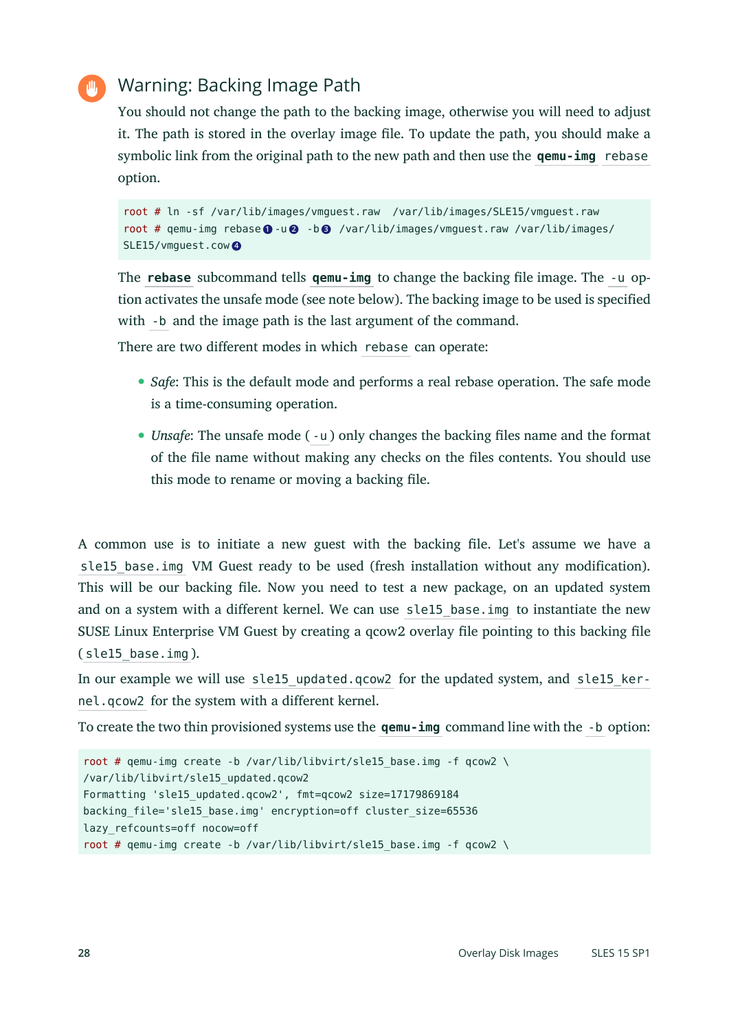# Warning: Backing Image Path

You should not change the path to the backing image, otherwise you will need to adjust it. The path is stored in the overlay image file. To update the path, you should make a symbolic link from the original path to the new path and then use the **qemu-img** rebase option.

```
root # ln -sf /var/lib/images/vmguest.raw /var/lib/images/SLE15/vmguest.raw
root # qemu-img rebase 1 -u 2 -b 3 /var/lib/images/vmguest.raw /var/lib/images/
SLE15/vmguest.cow 4
```
The **rebase** subcommand tells **gemu-img** to change the backing file image. The -u option activates the unsafe mode (see note below). The backing image to be used is specified with -b and the image path is the last argument of the command.

There are two different modes in which rebase can operate:

- *Safe*: This is the default mode and performs a real rebase operation. The safe mode is a time-consuming operation.
- *Unsafe*: The unsafe mode ( -u ) only changes the backing files name and the format of the file name without making any checks on the files contents. You should use this mode to rename or moving a backing file.

A common use is to initiate a new guest with the backing file. Let's assume we have a sle15 base.img VM Guest ready to be used (fresh installation without any modification). This will be our backing file. Now you need to test a new package, on an updated system and on a system with a different kernel. We can use sle15 base.img to instantiate the new SUSE Linux Enterprise VM Guest by creating a qcow2 overlay file pointing to this backing file ( sle15\_base.img ).

In our example we will use sle15 updated.qcow2 for the updated system, and sle15 kernel.qcow2 for the system with a different kernel.

To create the two thin provisioned systems use the **qemu-img** command line with the -b option:

```
root # gemu-img create -b /var/lib/libvirt/sle15 base.img -f gcow2 \setminus/var/lib/libvirt/sle15_updated.qcow2
Formatting 'sle15_updated.qcow2', fmt=qcow2 size=17179869184
backing file='sle15 base.img' encryption=off cluster size=65536
lazy_refcounts=off nocow=off
root # qemu-img create -b /var/lib/libvirt/sle15_base.img -f qcow2 \
```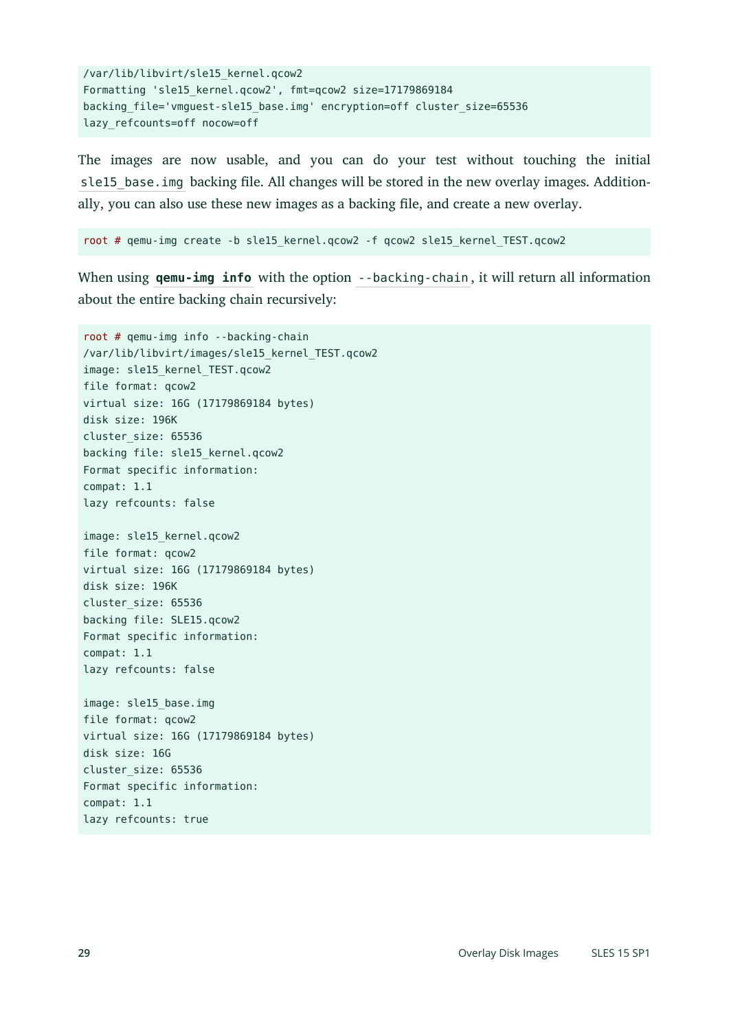```
/var/lib/libvirt/sle15_kernel.qcow2
Formatting 'sle15_kernel.qcow2', fmt=qcow2 size=17179869184
backing_file='vmguest-sle15_base.img' encryption=off cluster_size=65536
lazy_refcounts=off nocow=off
```
The images are now usable, and you can do your test without touching the initial sle15 base, img backing file. All changes will be stored in the new overlay images. Additionally, you can also use these new images as a backing file, and create a new overlay.

root # qemu-img create -b sle15\_kernel.qcow2 -f qcow2 sle15\_kernel\_TEST.qcow2

When using **qemu-img info** with the option --backing-chain, it will return all information about the entire backing chain recursively:

```
root # qemu-img info --backing-chain
/var/lib/libvirt/images/sle15_kernel_TEST.qcow2
image: sle15_kernel_TEST.qcow2
file format: qcow2
virtual size: 16G (17179869184 bytes)
disk size: 196K
cluster_size: 65536
backing file: sle15_kernel.qcow2
Format specific information:
compat: 1.1
lazy refcounts: false
image: sle15_kernel.qcow2
file format: qcow2
virtual size: 16G (17179869184 bytes)
disk size: 196K
cluster_size: 65536
backing file: SLE15.qcow2
Format specific information:
compat: 1.1
lazy refcounts: false
image: sle15_base.img
file format: qcow2
virtual size: 16G (17179869184 bytes)
disk size: 16G
cluster_size: 65536
Format specific information:
compat: 1.1
lazy refcounts: true
```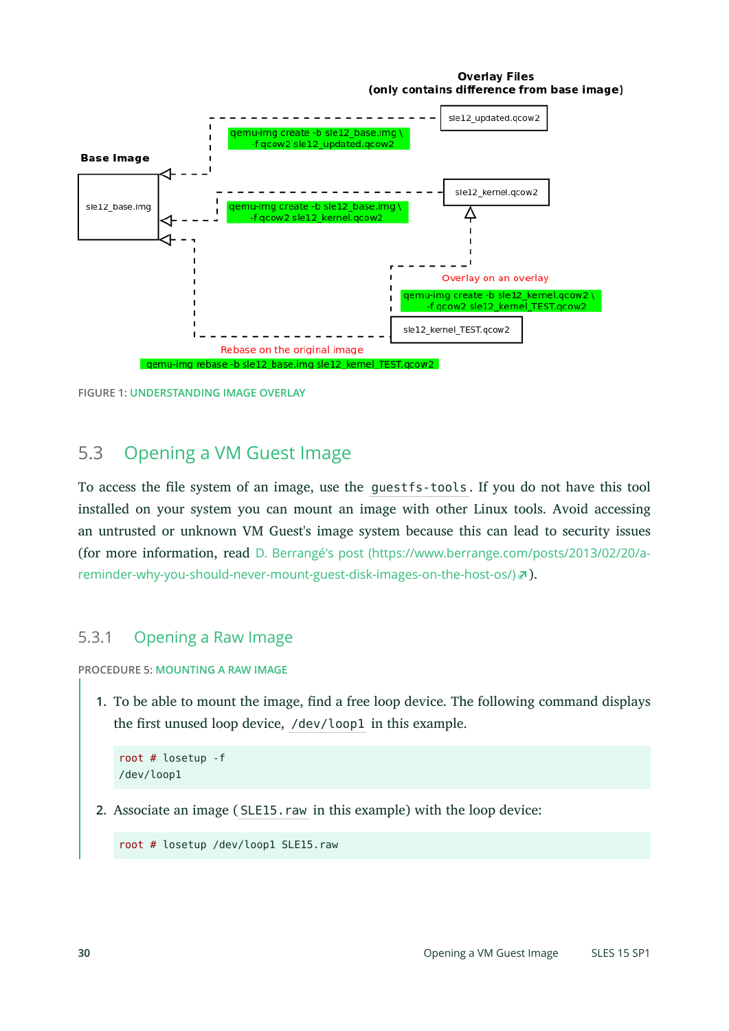#### **Overlay Files** (only contains difference from base image)



**FIGURE 1: UNDERSTANDING IMAGE OVERLAY**

# 5.3 Opening a VM Guest Image

To access the file system of an image, use the guestfs-tools. If you do not have this tool installed on your system you can mount an image with other Linux tools. Avoid accessing an untrusted or unknown VM Guest's image system because this can lead to security issues (for more information, read D. Berrangé's post [\(https://www.berrange.com/posts/2013/02/20/a](https://www.berrange.com/posts/2013/02/20/a-reminder-why-you-should-never-mount-guest-disk-images-on-the-host-os/)[reminder-why-you-should-never-mount-guest-disk-images-on-the-host-os/\)](https://www.berrange.com/posts/2013/02/20/a-reminder-why-you-should-never-mount-guest-disk-images-on-the-host-os/) ?).

#### 5.3.1 Opening a Raw Image

**PROCEDURE 5: MOUNTING A RAW IMAGE**

**1.** To be able to mount the image, find a free loop device. The following command displays the first unused loop device, /dev/loop1 in this example.

```
root # losetup -f
/dev/loop1
```
**2.** Associate an image ( SLE15.raw in this example) with the loop device:

root # losetup /dev/loop1 SLE15.raw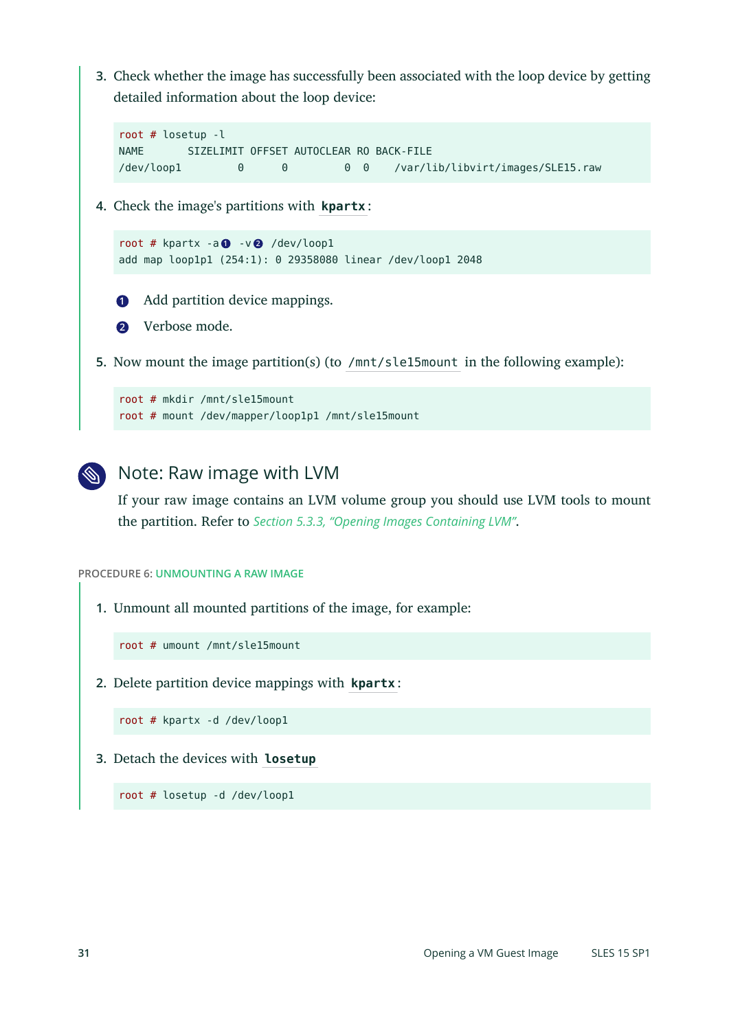**3.** Check whether the image has successfully been associated with the loop device by getting detailed information about the loop device:

```
root # losetup -l
NAME SIZELIMIT OFFSET AUTOCLEAR RO BACK-FILE
/dev/loop1 0 0 0 0 /var/lib/libvirt/images/SLE15.raw
```
**4.** Check the image's partitions with **kpartx** :

```
root # kpartx -a 1 -v 2 /dev/loop1
add map loop1p1 (254:1): 0 29358080 linear /dev/loop1 2048
```
- **[1](#page-30-0)** Add partition device mappings.
- **[2](#page-30-1)** Verbose mode.

**5.** Now mount the image partition(s) (to /mnt/sle15mount in the following example):

```
root # mkdir /mnt/sle15mount
root # mount /dev/mapper/loop1p1 /mnt/sle15mount
```


If your raw image contains an LVM volume group you should use LVM tools to mount the partition. Refer to *Section 5.3.3, "Opening Images [Containing](#page-32-0) LVM"*.

**PROCEDURE 6: UNMOUNTING A RAW IMAGE**

**1.** Unmount all mounted partitions of the image, for example:

root # umount /mnt/sle15mount

<span id="page-30-2"></span>**2.** Delete partition device mappings with **kpartx** :

root # kpartx -d /dev/loop1

**3.** Detach the devices with **losetup**

root # losetup -d /dev/loop1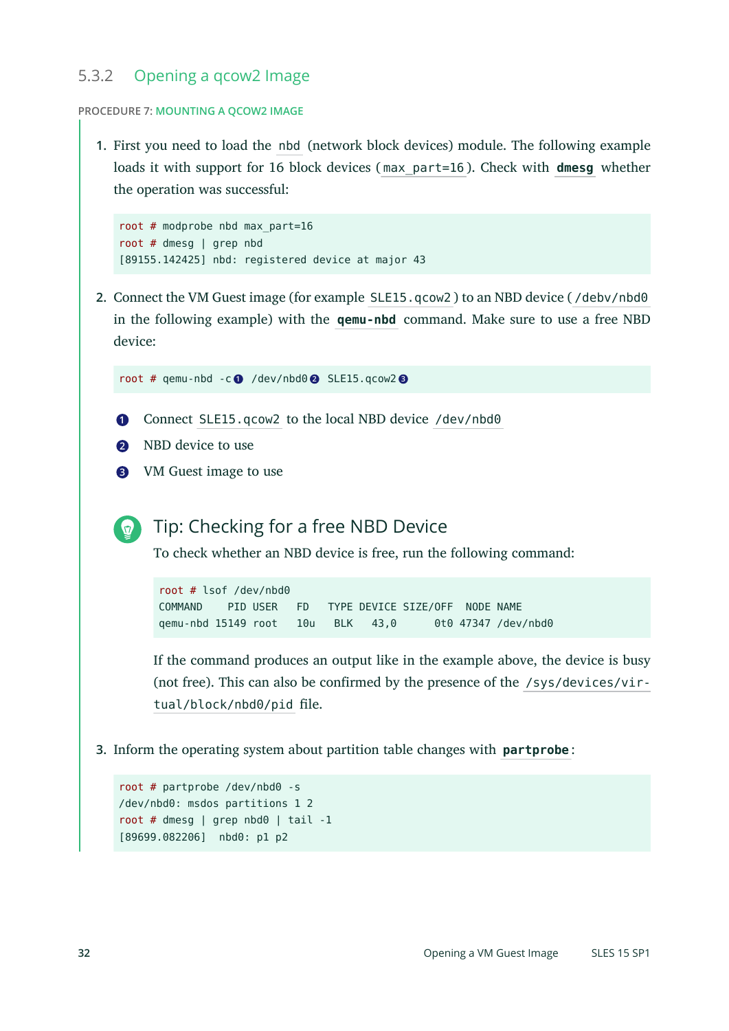#### 5.3.2 Opening a qcow2 Image

#### **PROCEDURE 7: MOUNTING A QCOW2 IMAGE**

**1.** First you need to load the nbd (network block devices) module. The following example loads it with support for 16 block devices ( max\_part=16 ). Check with **dmesg** whether the operation was successful:

```
root # modprobe nbd max_part=16
root # dmesg | grep nbd
[89155.142425] nbd: registered device at major 43
```
**2.** Connect the VM Guest image (for example SLE15.qcow2 ) to an NBD device ( /debv/nbd0 in the following example) with the **qemu-nbd** command. Make sure to use a free NBD device:

```
root # qemu-nbd -c 1 /dev/nbd0 2 SLE15.qcow2 3
```
- **[1](#page-31-0)** Connect SLE15.qcow2 to the local NBD device /dev/nbd0
- **[2](#page-31-1)** NBD device to use
- **[3](#page-31-2)** VM Guest image to use

```
Tip: Checking for a free NBD Device
```
To check whether an NBD device is free, run the following command:

root # lsof /dev/nbd0 COMMAND PID USER FD TYPE DEVICE SIZE/OFF NODE NAME qemu-nbd 15149 root 10u BLK 43,0 0t0 47347 /dev/nbd0

If the command produces an output like in the example above, the device is busy (not free). This can also be confirmed by the presence of the /sys/devices/virtual/block/nbd0/pid file.

**3.** Inform the operating system about partition table changes with **partprobe** :

```
root # partprobe /dev/nbd0 -s
/dev/nbd0: msdos partitions 1 2
root # dmesg | grep nbd0 | tail -1
[89699.082206] nbd0: p1 p2
```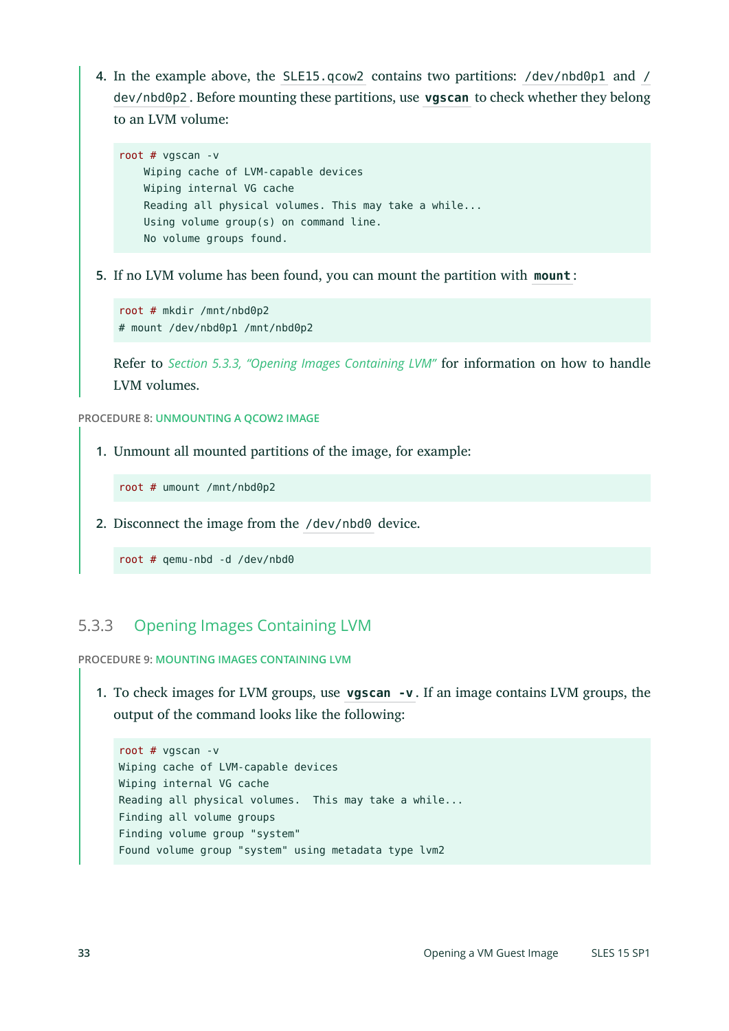**4.** In the example above, the SLE15.qcow2 contains two partitions: /dev/nbd0p1 and / dev/nbd0p2 . Before mounting these partitions, use **vgscan** to check whether they belong to an LVM volume:

```
root # vgscan -v
    Wiping cache of LVM-capable devices
    Wiping internal VG cache
    Reading all physical volumes. This may take a while...
    Using volume group(s) on command line.
    No volume groups found.
```
**5.** If no LVM volume has been found, you can mount the partition with **mount** :

```
root # mkdir /mnt/nbd0p2
# mount /dev/nbd0p1 /mnt/nbd0p2
```
Refer to *Section 5.3.3, "Opening Images [Containing](#page-32-0) LVM"* for information on how to handle LVM volumes.

**PROCEDURE 8: UNMOUNTING A QCOW2 IMAGE**

**1.** Unmount all mounted partitions of the image, for example:

root # umount /mnt/nbd0p2

<span id="page-32-1"></span>**2.** Disconnect the image from the /dev/nbd0 device.

root # qemu-nbd -d /dev/nbd0

# <span id="page-32-0"></span>5.3.3 Opening Images Containing LVM

**PROCEDURE 9: MOUNTING IMAGES CONTAINING LVM**

**1.** To check images for LVM groups, use **vgscan -v** . If an image contains LVM groups, the output of the command looks like the following:

```
root # vgscan -v
Wiping cache of LVM-capable devices
Wiping internal VG cache
Reading all physical volumes. This may take a while...
Finding all volume groups
Finding volume group "system"
Found volume group "system" using metadata type lvm2
```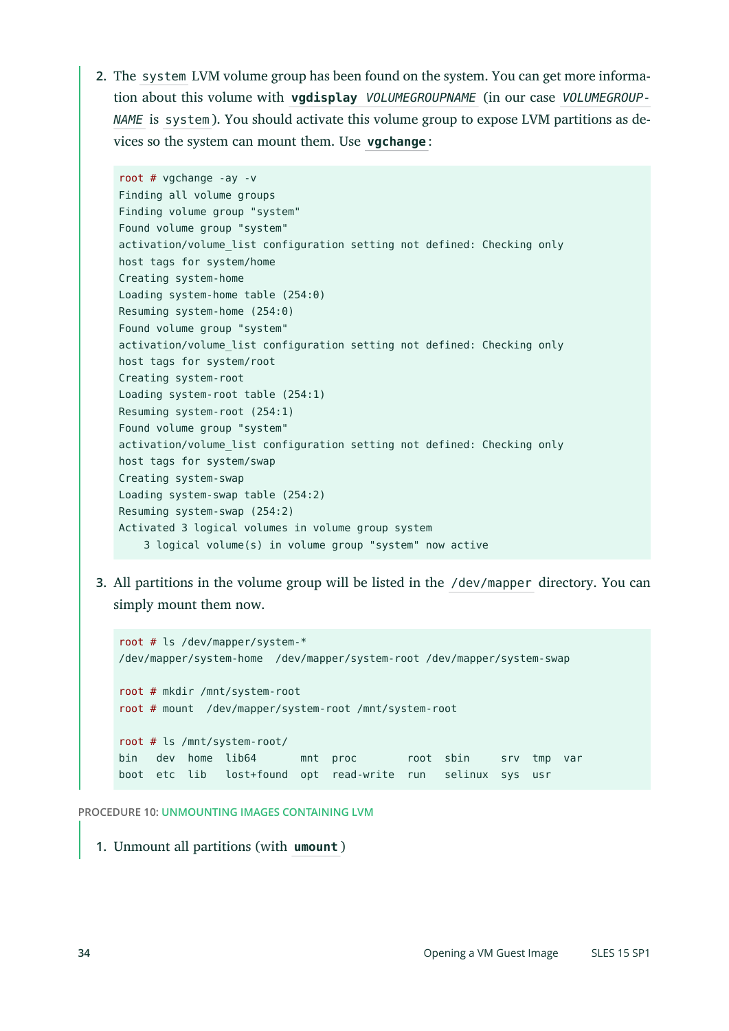**2.** The system LVM volume group has been found on the system. You can get more information about this volume with **vgdisplay** *VOLUMEGROUPNAME* (in our case *VOLUMEGROUP-NAME* is system ). You should activate this volume group to expose LVM partitions as devices so the system can mount them. Use **vgchange** :

```
root # vgchange -ay -v
Finding all volume groups
Finding volume group "system"
Found volume group "system"
activation/volume_list configuration setting not defined: Checking only
host tags for system/home
Creating system-home
Loading system-home table (254:0)
Resuming system-home (254:0)
Found volume group "system"
activation/volume list configuration setting not defined: Checking only
host tags for system/root
Creating system-root
Loading system-root table (254:1)
Resuming system-root (254:1)
Found volume group "system"
activation/volume_list configuration setting not defined: Checking only
host tags for system/swap
Creating system-swap
Loading system-swap table (254:2)
Resuming system-swap (254:2)
Activated 3 logical volumes in volume group system
     3 logical volume(s) in volume group "system" now active
```
**3.** All partitions in the volume group will be listed in the /dev/mapper directory. You can simply mount them now.

```
root # ls /dev/mapper/system-*
/dev/mapper/system-home /dev/mapper/system-root /dev/mapper/system-swap
root # mkdir /mnt/system-root
root # mount /dev/mapper/system-root /mnt/system-root
root # ls /mnt/system-root/
bin dev home lib64 mnt proc root sbin srv tmp var
boot etc lib lost+found opt read-write run selinux sys usr
```
**PROCEDURE 10: UNMOUNTING IMAGES CONTAINING LVM**

**1.** Unmount all partitions (with **umount** )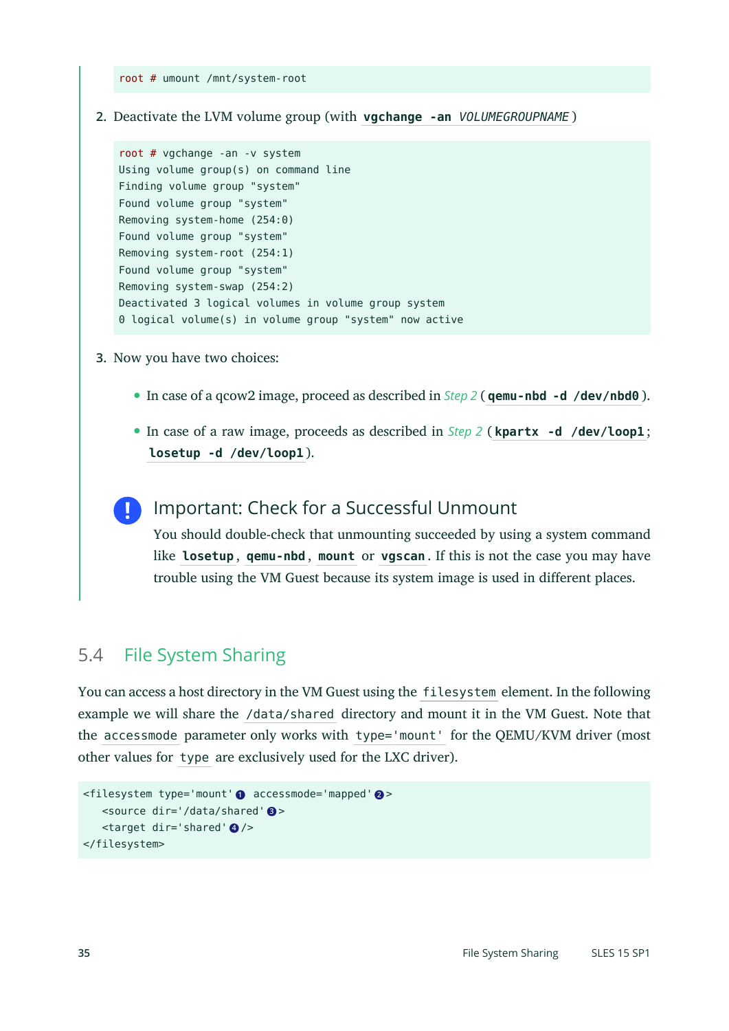root # umount /mnt/system-root

**2.** Deactivate the LVM volume group (with **vgchange -an** *VOLUMEGROUPNAME* )

```
root # vgchange -an -v system
Using volume group(s) on command line
Finding volume group "system"
Found volume group "system"
Removing system-home (254:0)
Found volume group "system"
Removing system-root (254:1)
Found volume group "system"
Removing system-swap (254:2)
Deactivated 3 logical volumes in volume group system
0 logical volume(s) in volume group "system" now active
```
- **3.** Now you have two choices:
	- In case of a qcow2 image, proceed as described in *[Step 2](#page-32-1)* ( **qemu-nbd -d /dev/nbd0** ).
	- In case of a raw image, proceeds as described in *[Step 2](#page-30-2)* ( **kpartx -d /dev/loop1** ; **losetup -d /dev/loop1** ).

### Important: Check for a Successful Unmount

You should double-check that unmounting succeeded by using a system command like **losetup** , **qemu-nbd** , **mount** or **vgscan** . If this is not the case you may have trouble using the VM Guest because its system image is used in different places.

# 5.4 File System Sharing

You can access a host directory in the VM Guest using the filesystem element. In the following example we will share the /data/shared directory and mount it in the VM Guest. Note that the accessmode parameter only works with type='mount' for the QEMU/KVM driver (most other values for type are exclusively used for the LXC driver).

```
<filesystem type='mount' 1 accessmode='mapped' 2 >
    <source dir='/data/shared' 3 >
   <target dir='shared' 4 />
</filesystem>
```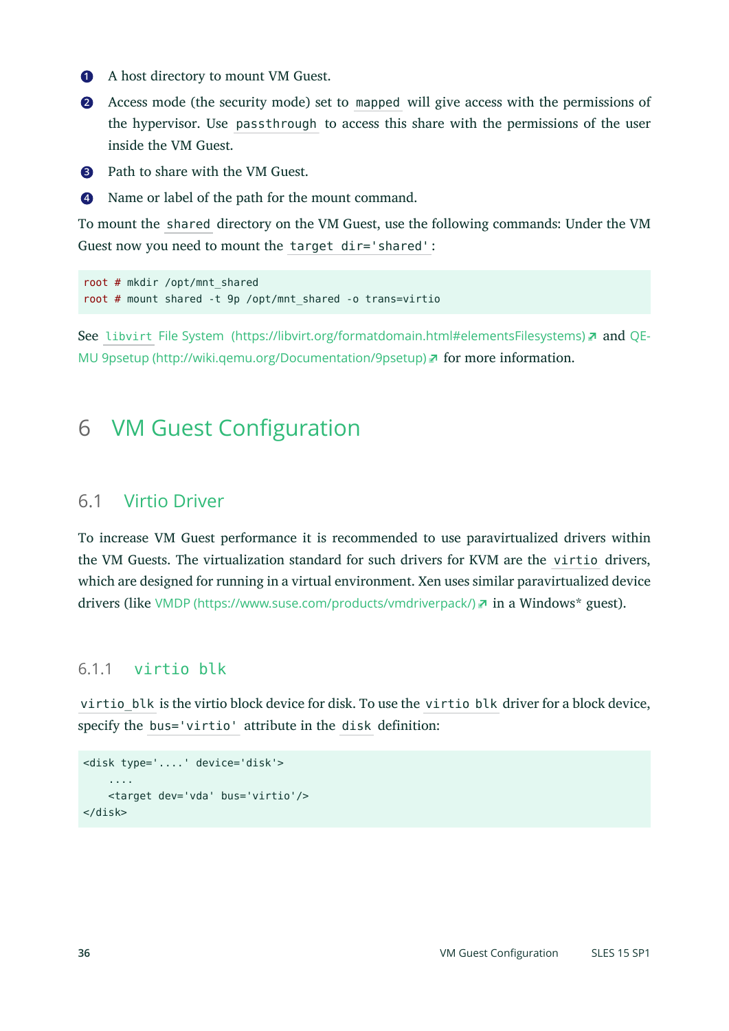- **[1](#page-34-0)** A host directory to mount VM Guest.
- **[2](#page-34-1)** Access mode (the security mode) set to mapped will give access with the permissions of the hypervisor. Use passthrough to access this share with the permissions of the user inside the VM Guest.

**[3](#page-34-2)** Path to share with the VM Guest.

**[4](#page-34-3)** Name or label of the path for the mount command.

To mount the shared directory on the VM Guest, use the following commands: Under the VM Guest now you need to mount the target dir='shared' :

```
root # mkdir /opt/mnt_shared
root # mount shared -t 9p /opt/mnt_shared -o trans=virtio
```
<span id="page-35-0"></span>See libvirt [File System \(https://libvirt.org/formatdomain.html#elementsFilesystems\)](https://libvirt.org/formatdomain.html#elementsFilesystems) and [QE-](http://wiki.qemu.org/Documentation/9psetup)MU 9psetup (http://wiki.gemu.org/Documentation/9psetup) **for more information.** 

# 6 VM Guest Configuration

#### 6.1 Virtio Driver

To increase VM Guest performance it is recommended to use paravirtualized drivers within the VM Guests. The virtualization standard for such drivers for KVM are the virtio drivers, which are designed for running in a virtual environment. Xen uses similar paravirtualized device drivers (like VMDP [\(https://www.suse.com/products/vmdriverpack/\)](https://www.suse.com/products/vmdriverpack/) a in a Windows\* guest).

#### 6.1.1 virtio blk

virtio blk is the virtio block device for disk. To use the virtio blk driver for a block device, specify the bus='virtio' attribute in the disk definition:

```
<disk type='....' device='disk'>
 ....
    <target dev='vda' bus='virtio'/>
</disk>
```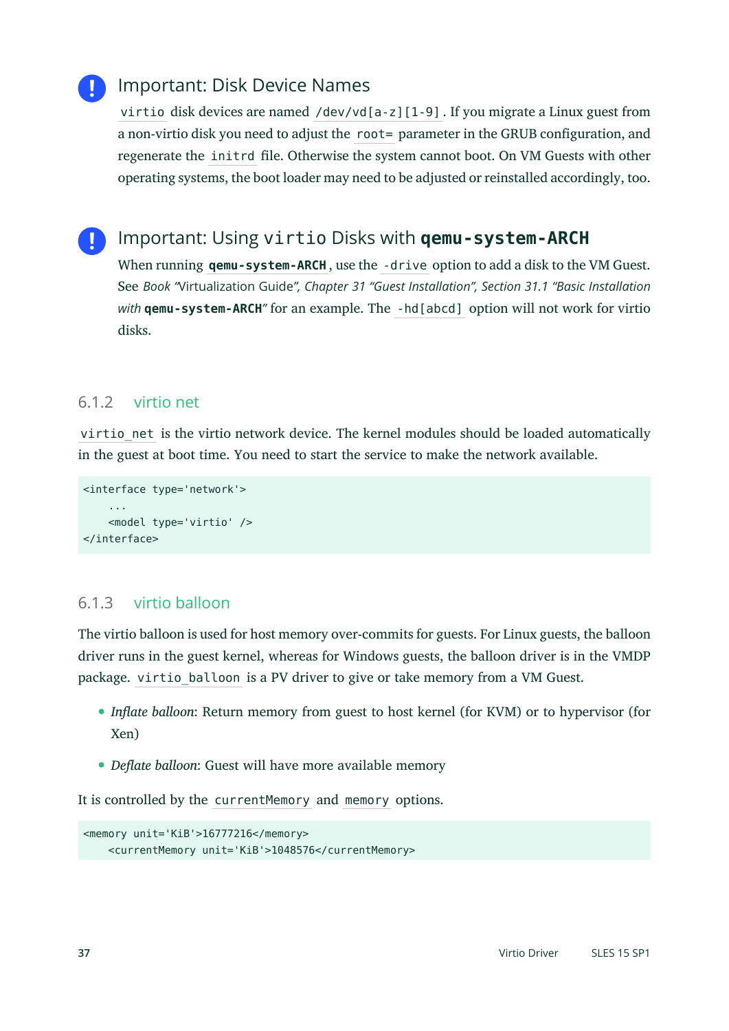# Important: Disk Device Names

virtio disk devices are named /dev/vd[a-z][1-9] . If you migrate a Linux guest from a non-virtio disk you need to adjust the root= parameter in the GRUB configuration, and regenerate the initrd file. Otherwise the system cannot boot. On VM Guests with other operating systems, the boot loader may need to be adjusted or reinstalled accordingly, too.

# Important: Using virtio Disks with **qemu-system-ARCH**

When running **qemu-system-ARCH** , use the -drive option to add a disk to the VM Guest. See *Book "*Virtualization Guide*", Chapter 31 "Guest Installation", Section 31.1 "Basic Installation with* **qemu-system-ARCH***"* for an example. The -hd[abcd] option will not work for virtio disks.

#### 6.1.2 virtio net

virtio net is the virtio network device. The kernel modules should be loaded automatically in the guest at boot time. You need to start the service to make the network available.

```
<interface type='network'>
     ...
     <model type='virtio' />
</interface>
```
### <span id="page-36-0"></span>6.1.3 virtio balloon

The virtio balloon is used for host memory over-commits for guests. For Linux guests, the balloon driver runs in the guest kernel, whereas for Windows guests, the balloon driver is in the VMDP package. virtio balloon is a PV driver to give or take memory from a VM Guest.

- *Inflate balloon*: Return memory from guest to host kernel (for KVM) or to hypervisor (for Xen)
- *Deflate balloon*: Guest will have more available memory

It is controlled by the currentMemory and memory options.

```
<memory unit='KiB'>16777216</memory>
     <currentMemory unit='KiB'>1048576</currentMemory>
```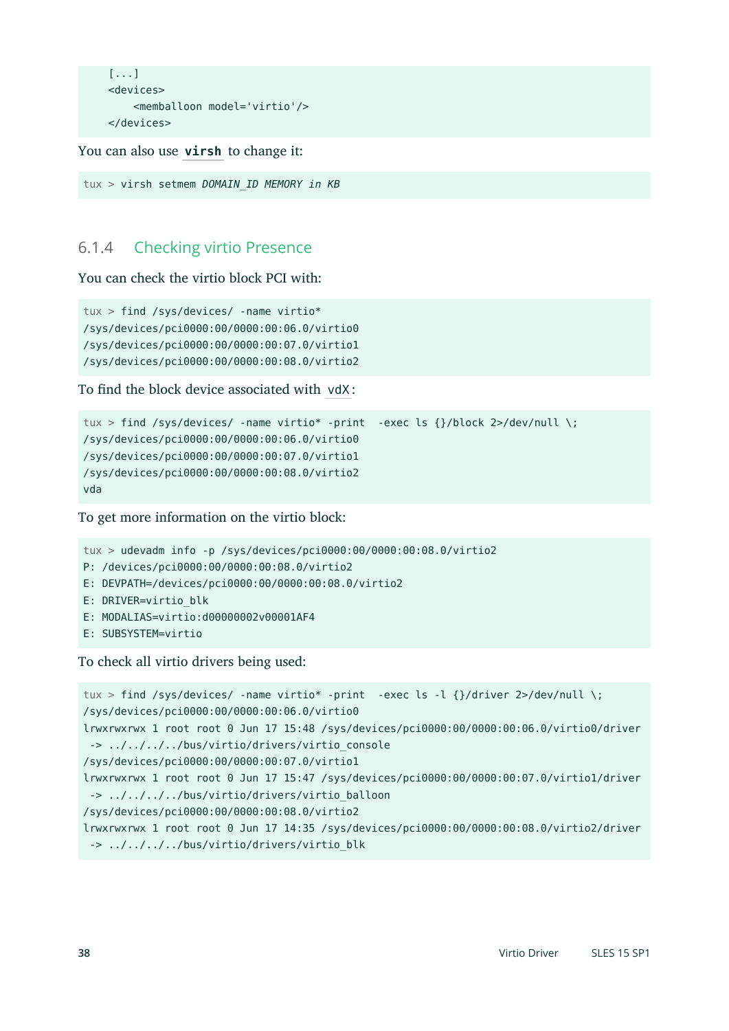```
 [...]
 <devices>
     <memballoon model='virtio'/>
 </devices>
```
You can also use **virsh** to change it:

```
tux > virsh setmem DOMAIN_ID MEMORY in KB
```
### 6.1.4 Checking virtio Presence

You can check the virtio block PCI with:

```
tux > find /sys/devices/ -name virtio*
/sys/devices/pci0000:00/0000:00:06.0/virtio0
/sys/devices/pci0000:00/0000:00:07.0/virtio1
/sys/devices/pci0000:00/0000:00:08.0/virtio2
```
To find the block device associated with vdX:

```
tux > find /sys/devices/ -name virtio* -print -exec ls {}/block 2>/dev/null \;
/sys/devices/pci0000:00/0000:00:06.0/virtio0
/sys/devices/pci0000:00/0000:00:07.0/virtio1
/sys/devices/pci0000:00/0000:00:08.0/virtio2
vda
```
To get more information on the virtio block:

```
tux > udevadm info -p /sys/devices/pci0000:00/0000:00:08.0/virtio2
P: /devices/pci0000:00/0000:00:08.0/virtio2
E: DEVPATH=/devices/pci0000:00/0000:00:08.0/virtio2
E: DRIVER=virtio_blk
E: MODALIAS=virtio:d00000002v00001AF4
E: SUBSYSTEM=virtio
```
To check all virtio drivers being used:

tux > find /sys/devices/ -name virtio\* -print -exec ls -l {}/driver 2>/dev/null \; /sys/devices/pci0000:00/0000:00:06.0/virtio0 lrwxrwxrwx 1 root root 0 Jun 17 15:48 /sys/devices/pci0000:00/0000:00:06.0/virtio0/driver -> ../../../../bus/virtio/drivers/virtio console /sys/devices/pci0000:00/0000:00:07.0/virtio1 lrwxrwxrwx 1 root root 0 Jun 17 15:47 /sys/devices/pci0000:00/0000:00:07.0/virtio1/driver -> ../../../../bus/virtio/drivers/virtio\_balloon /sys/devices/pci0000:00/0000:00:08.0/virtio2 lrwxrwxrwx 1 root root 0 Jun 17 14:35 /sys/devices/pci0000:00/0000:00:08.0/virtio2/driver -> ../../../../bus/virtio/drivers/virtio blk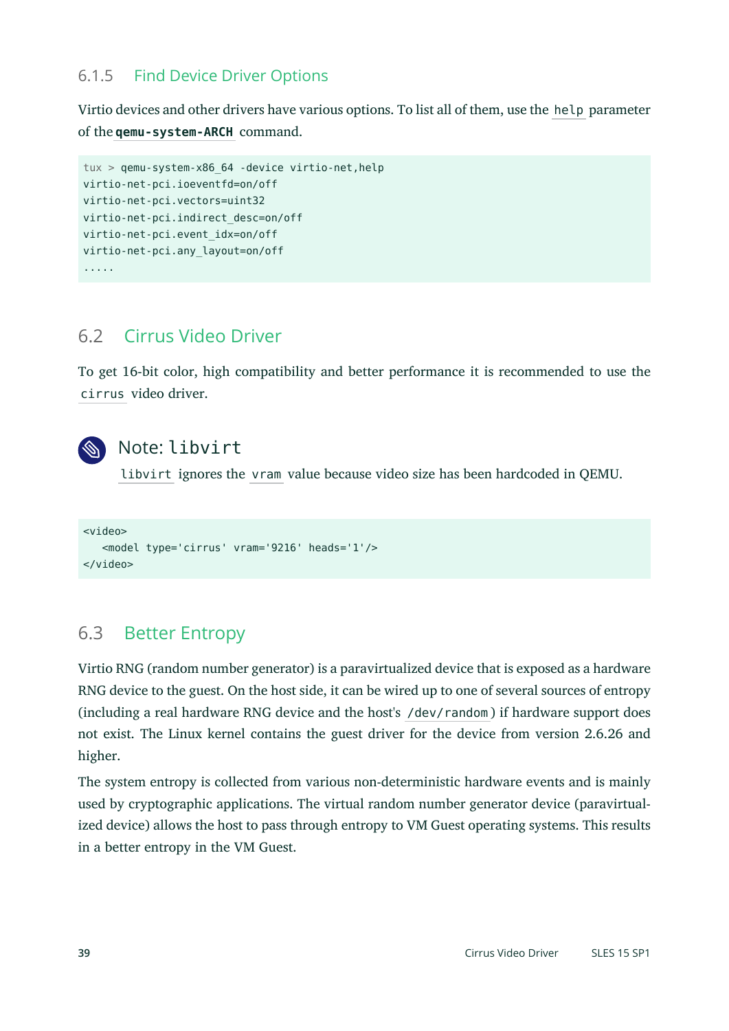### 6.1.5 Find Device Driver Options

Virtio devices and other drivers have various options. To list all of them, use the help parameter of the **qemu-system-ARCH** command.

```
tux > qemu-system-x86_64 -device virtio-net,help
virtio-net-pci.ioeventfd=on/off
virtio-net-pci.vectors=uint32
virtio-net-pci.indirect_desc=on/off
virtio-net-pci.event_idx=on/off
virtio-net-pci.any_layout=on/off
.....
```
# 6.2 Cirrus Video Driver

To get 16-bit color, high compatibility and better performance it is recommended to use the cirrus video driver.



# Note: libvirt

libvirt ignores the vram value because video size has been hardcoded in QEMU.

```
<video>
    <model type='cirrus' vram='9216' heads='1'/>
</video>
```
# 6.3 Better Entropy

Virtio RNG (random number generator) is a paravirtualized device that is exposed as a hardware RNG device to the guest. On the host side, it can be wired up to one of several sources of entropy (including a real hardware RNG device and the host's /dev/random ) if hardware support does not exist. The Linux kernel contains the guest driver for the device from version 2.6.26 and higher.

The system entropy is collected from various non-deterministic hardware events and is mainly used by cryptographic applications. The virtual random number generator device (paravirtualized device) allows the host to pass through entropy to VM Guest operating systems. This results in a better entropy in the VM Guest.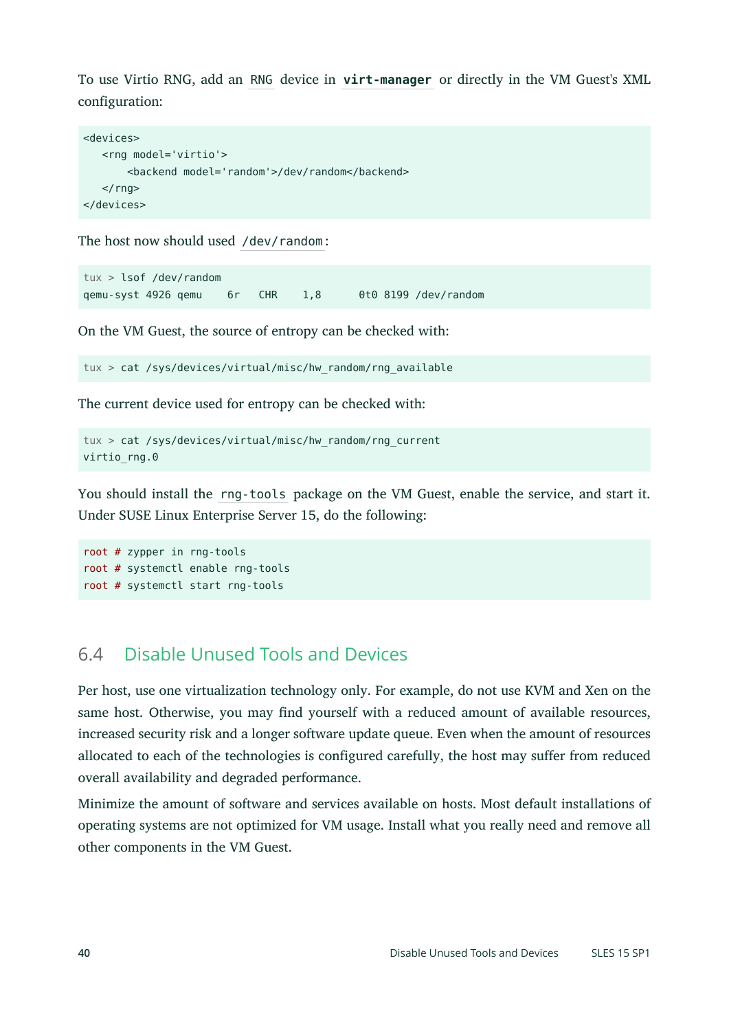To use Virtio RNG, add an RNG device in **virt-manager** or directly in the VM Guest's XML configuration:

```
<devices>
    <rng model='virtio'>
        <backend model='random'>/dev/random</backend>
   \langle rng>
</devices>
```
The host now should used /dev/random:

tux > lsof /dev/random qemu-syst 4926 qemu 6r CHR 1,8 0t0 8199 /dev/random

On the VM Guest, the source of entropy can be checked with:

tux > cat /sys/devices/virtual/misc/hw\_random/rng\_available

The current device used for entropy can be checked with:

```
tux > cat /sys/devices/virtual/misc/hw_random/rng_current
virtio rng.0
```
You should install the rng-tools package on the VM Guest, enable the service, and start it. Under SUSE Linux Enterprise Server 15, do the following:

```
root # zypper in rng-tools
root # systemctl enable rng-tools
root # systemctl start rng-tools
```
# 6.4 Disable Unused Tools and Devices

Per host, use one virtualization technology only. For example, do not use KVM and Xen on the same host. Otherwise, you may find yourself with a reduced amount of available resources, increased security risk and a longer software update queue. Even when the amount of resources allocated to each of the technologies is configured carefully, the host may suffer from reduced overall availability and degraded performance.

Minimize the amount of software and services available on hosts. Most default installations of operating systems are not optimized for VM usage. Install what you really need and remove all other components in the VM Guest.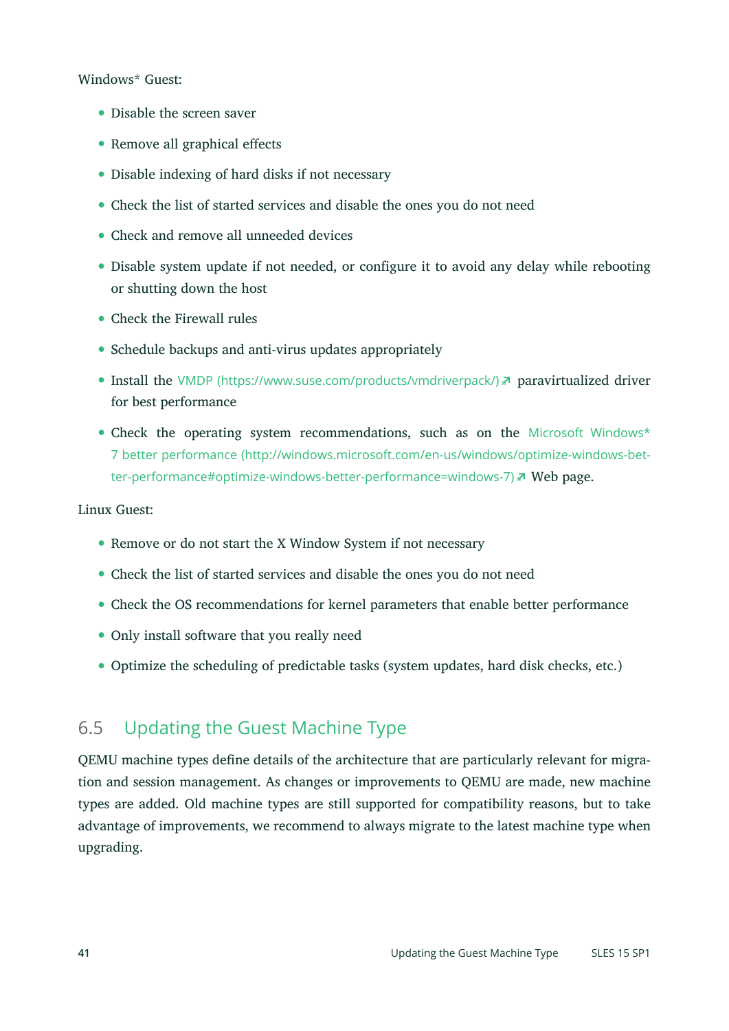#### Windows\* Guest:

- Disable the screen saver
- Remove all graphical effects
- Disable indexing of hard disks if not necessary
- Check the list of started services and disable the ones you do not need
- Check and remove all unneeded devices
- Disable system update if not needed, or configure it to avoid any delay while rebooting or shutting down the host
- Check the Firewall rules
- Schedule backups and anti-virus updates appropriately
- Install the VMDP [\(https://www.suse.com/products/vmdriverpack/\)](https://www.suse.com/products/vmdriverpack/) **paravirtualized driver** for best performance
- Check the operating system recommendations, such as on the [Microsoft Windows\\*](http://windows.microsoft.com/en-us/windows/optimize-windows-better-performance#optimize-windows-better-performance=windows-7) [7 better performance \(http://windows.microsoft.com/en-us/windows/optimize-windows-bet](http://windows.microsoft.com/en-us/windows/optimize-windows-better-performance#optimize-windows-better-performance=windows-7)[ter-performance#optimize-windows-better-performance=windows-7\)](http://windows.microsoft.com/en-us/windows/optimize-windows-better-performance#optimize-windows-better-performance=windows-7) **No Web page.**

#### Linux Guest:

- Remove or do not start the X Window System if not necessary
- Check the list of started services and disable the ones you do not need
- Check the OS recommendations for kernel parameters that enable better performance
- Only install software that you really need
- Optimize the scheduling of predictable tasks (system updates, hard disk checks, etc.)

# 6.5 Updating the Guest Machine Type

QEMU machine types define details of the architecture that are particularly relevant for migration and session management. As changes or improvements to QEMU are made, new machine types are added. Old machine types are still supported for compatibility reasons, but to take advantage of improvements, we recommend to always migrate to the latest machine type when upgrading.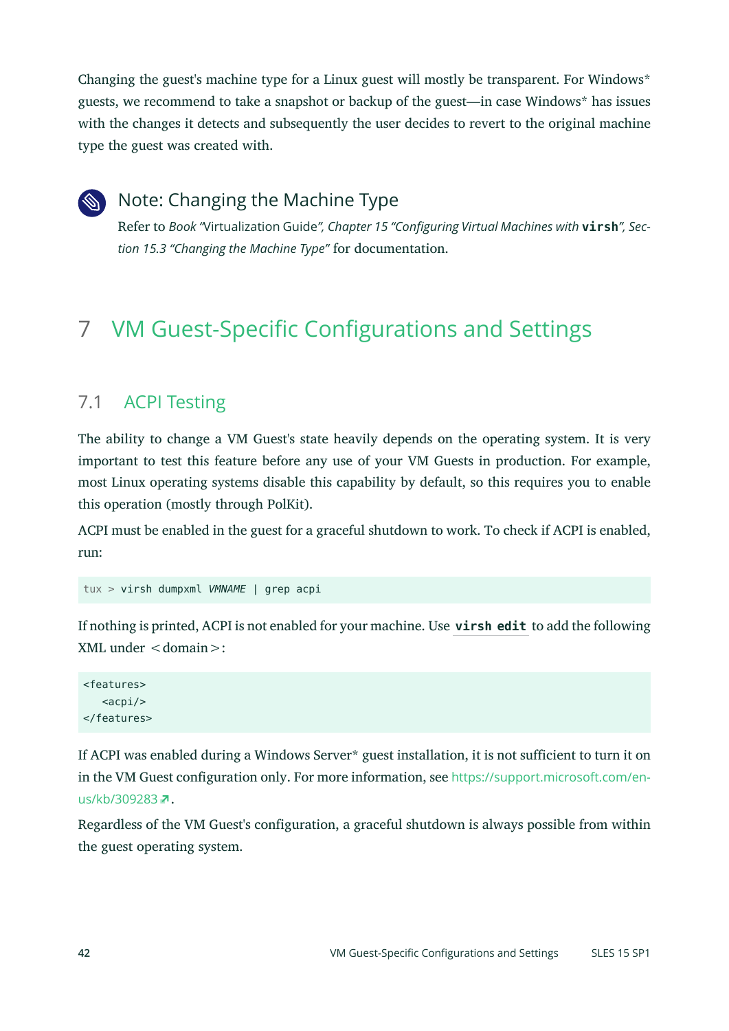Changing the guest's machine type for a Linux guest will mostly be transparent. For Windows\* guests, we recommend to take a snapshot or backup of the guest—in case Windows\* has issues with the changes it detects and subsequently the user decides to revert to the original machine type the guest was created with.



# Note: Changing the Machine Type

Refer to *Book "*Virtualization Guide*", Chapter 15 "Configuring Virtual Machines with* **virsh***", Section 15.3 "Changing the Machine Type"* for documentation.

# <span id="page-41-0"></span>7 VM Guest-Specific Configurations and Settings

# 7.1 ACPI Testing

The ability to change a VM Guest's state heavily depends on the operating system. It is very important to test this feature before any use of your VM Guests in production. For example, most Linux operating systems disable this capability by default, so this requires you to enable this operation (mostly through PolKit).

ACPI must be enabled in the guest for a graceful shutdown to work. To check if ACPI is enabled, run:

```
tux > virsh dumpxml VMNAME | grep acpi
```
If nothing is printed, ACPI is not enabled for your machine. Use **virsh edit** to add the following  $XML$  under  $<$  domain $>$ :

<features>  $<$ acpi $/$ </features>

If ACPI was enabled during a Windows Server\* guest installation, it is not sufficient to turn it on in the VM Guest configuration only. For more information, see [https://support.microsoft.com/en](https://support.microsoft.com/en-us/kb/309283)[us/kb/309283](https://support.microsoft.com/en-us/kb/309283) **7.** 

Regardless of the VM Guest's configuration, a graceful shutdown is always possible from within the guest operating system.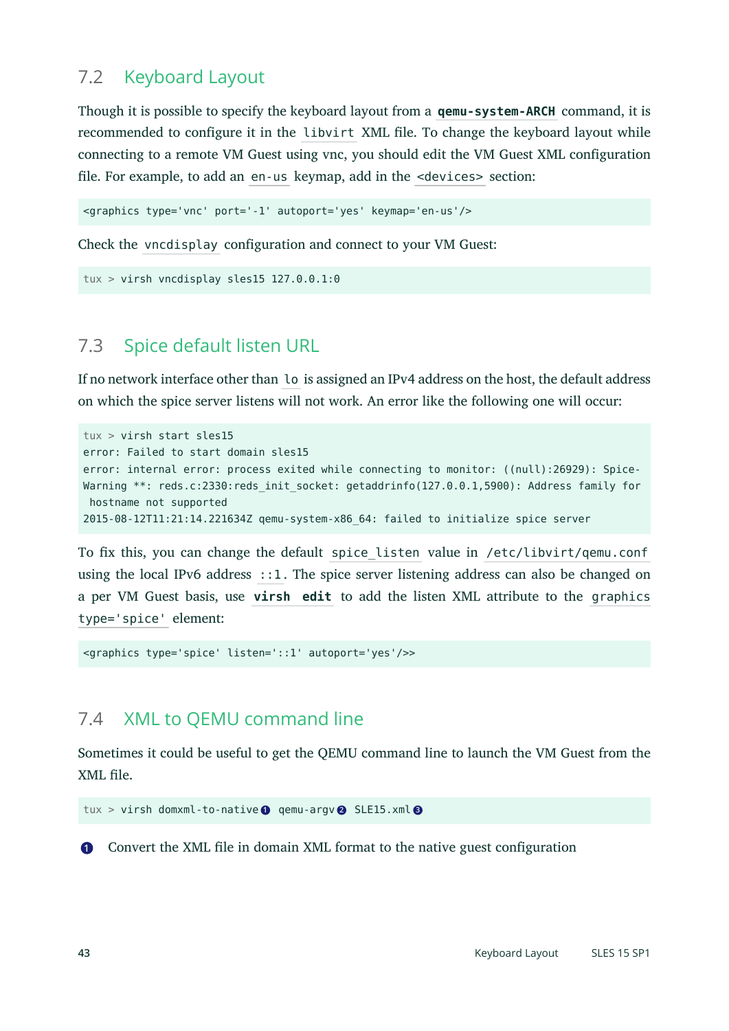# 7.2 Keyboard Layout

Though it is possible to specify the keyboard layout from a **qemu-system-ARCH** command, it is recommended to configure it in the libvirt XML file. To change the keyboard layout while connecting to a remote VM Guest using vnc, you should edit the VM Guest XML configuration file. For example, to add an en-us keymap, add in the <devices> section:

```
<graphics type='vnc' port='-1' autoport='yes' keymap='en-us'/>
```
Check the vncdisplay configuration and connect to your VM Guest:

```
tux > virsh vncdisplay sles15 127.0.0.1:0
```
# 7.3 Spice default listen URL

If no network interface other than lo is assigned an IPv4 address on the host, the default address on which the spice server listens will not work. An error like the following one will occur:

```
tux > virsh start sles15
error: Failed to start domain sles15
error: internal error: process exited while connecting to monitor: ((null):26929): Spice-
Warning **: reds.c:2330:reds init socket: getaddrinfo(127.0.0.1,5900): Address family for
 hostname not supported
2015-08-12T11:21:14.221634Z qemu-system-x86_64: failed to initialize spice server
```
To fix this, you can change the default spice listen value in /etc/libvirt/qemu.conf using the local IPv6 address  $\cdot:1$ . The spice server listening address can also be changed on a per VM Guest basis, use **virsh edit** to add the listen XML attribute to the graphics type='spice' element:

<graphics type='spice' listen='::1' autoport='yes'/>>

# 7.4 XML to QEMU command line

Sometimes it could be useful to get the QEMU command line to launch the VM Guest from the XML file.

```
tux > virsh domxml-to-native 1 qemu-argv 2 SLE15.xml 3
```
**[1](#page-42-0)** Convert the XML file in domain XML format to the native guest configuration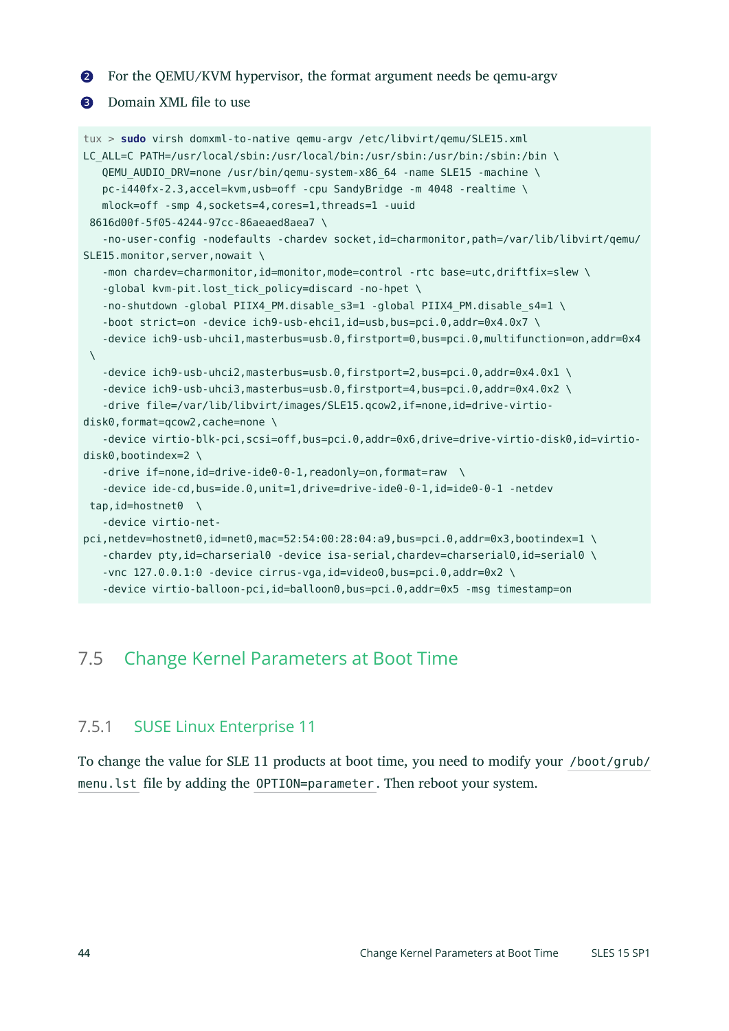**[2](#page-42-1)** For the QEMU/KVM hypervisor, the format argument needs be qemu-argv

#### **[3](#page-42-2)** Domain XML file to use

```
tux > sudo virsh domxml-to-native qemu-argv /etc/libvirt/qemu/SLE15.xml
LC_ALL=C_PATH=/usr/local/sbin:/usr/local/bin:/usr/sbin:/usr/bin:/sbin:/bin \
    QEMU_AUDIO_DRV=none /usr/bin/qemu-system-x86_64 -name SLE15 -machine \
    pc-i440fx-2.3,accel=kvm,usb=off -cpu SandyBridge -m 4048 -realtime \
    mlock=off -smp 4,sockets=4,cores=1,threads=1 -uuid
 8616d00f-5f05-4244-97cc-86aeaed8aea7 \
   -no-user-config -nodefaults -chardev socket,id=charmonitor,path=/var/lib/libvirt/qemu/
SLE15.monitor, server, nowait \
   -mon chardev=charmonitor,id=monitor,mode=control -rtc base=utc,driftfix=slew \
   -global kvm-pit.lost tick policy=discard -no-hpet \
   -no-shutdown -qlobal PIIX4 PM.disable s3=1 -qlobal PIIX4 PM.disable s4=1 \setminus-boot strict=on -device ich9-usb-ehcil,id=usb,bus=pci.0,addr=0x4.0x7 \
    -device ich9-usb-uhci1,masterbus=usb.0,firstport=0,bus=pci.0,multifunction=on,addr=0x4
\setminus -device ich9-usb-uhci2,masterbus=usb.0,firstport=2,bus=pci.0,addr=0x4.0x1 \
    -device ich9-usb-uhci3,masterbus=usb.0,firstport=4,bus=pci.0,addr=0x4.0x2 \
    -drive file=/var/lib/libvirt/images/SLE15.qcow2,if=none,id=drive-virtio-
disk0, format=qcow2, cache=none \
    -device virtio-blk-pci,scsi=off,bus=pci.0,addr=0x6,drive=drive-virtio-disk0,id=virtio-
disk0,bootindex=2 \
   -drive if=none,id=drive-ide0-0-1,readonly=on,format=raw \
    -device ide-cd,bus=ide.0,unit=1,drive=drive-ide0-0-1,id=ide0-0-1 -netdev
 tap,id=hostnet0 \
    -device virtio-net-
pci,netdev=hostnet0,id=net0,mac=52:54:00:28:04:a9,bus=pci.0,addr=0x3,bootindex=1 \
   -chardev pty,id=charserial0 -device isa-serial, chardev=charserial0, id=serial0 \
   -vnc 127.0.0.1:0 -device cirrus-vga,id=video0,bus=pci.0,addr=0x2 \
    -device virtio-balloon-pci,id=balloon0,bus=pci.0,addr=0x5 -msg timestamp=on
```
# <span id="page-43-0"></span>7.5 Change Kernel Parameters at Boot Time

#### 7.5.1 SUSE Linux Enterprise 11

To change the value for SLE 11 products at boot time, you need to modify your /boot/grub/ menu.lst file by adding the OPTION=parameter. Then reboot your system.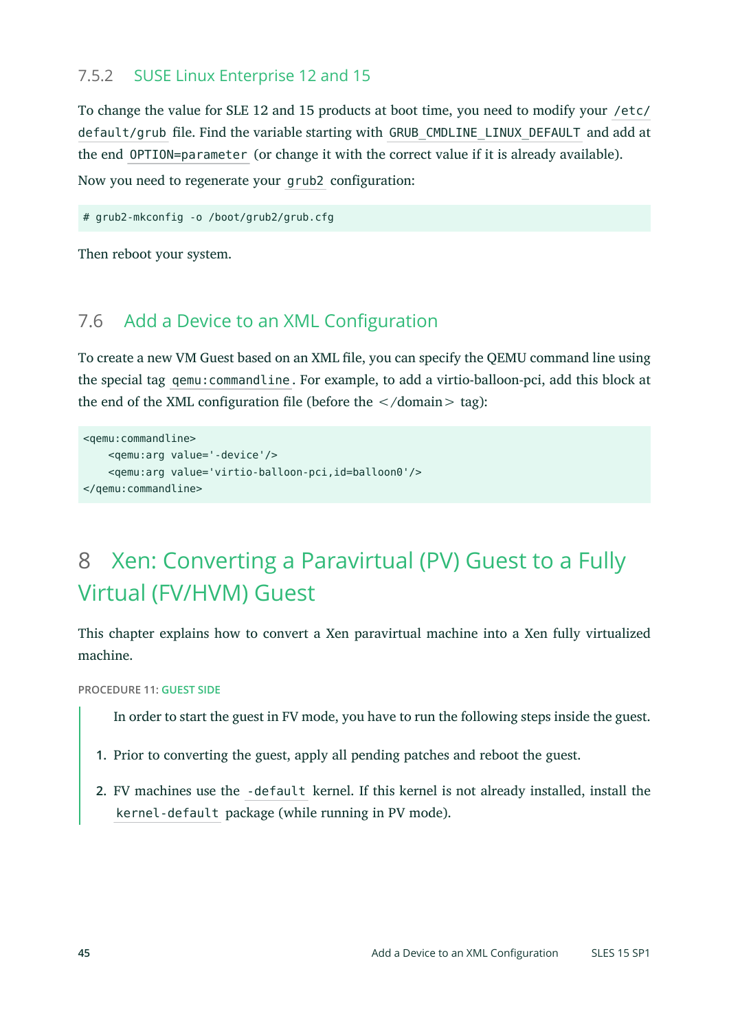### 7.5.2 SUSE Linux Enterprise 12 and 15

To change the value for SLE 12 and 15 products at boot time, you need to modify your /etc/ default/grub file. Find the variable starting with GRUB\_CMDLINE\_LINUX\_DEFAULT and add at the end OPTION=parameter (or change it with the correct value if it is already available). Now you need to regenerate your grub2 configuration:

# grub2-mkconfig -o /boot/grub2/grub.cfg

Then reboot your system.

# 7.6 Add a Device to an XML Configuration

To create a new VM Guest based on an XML file, you can specify the QEMU command line using the special tag qemu:commandline . For example, to add a virtio-balloon-pci, add this block at the end of the XML configuration file (before the  $\lt$ /domain  $>$  tag):

```
<qemu:commandline>
    <qemu:arg value='-device'/>
     <qemu:arg value='virtio-balloon-pci,id=balloon0'/>
</qemu:commandline>
```
# <span id="page-44-0"></span>8 Xen: Converting a Paravirtual (PV) Guest to a Fully Virtual (FV/HVM) Guest

This chapter explains how to convert a Xen paravirtual machine into a Xen fully virtualized machine.

**PROCEDURE 11: GUEST SIDE**

In order to start the guest in FV mode, you have to run the following steps inside the guest.

- **1.** Prior to converting the guest, apply all pending patches and reboot the guest.
- **2.** FV machines use the -default kernel. If this kernel is not already installed, install the kernel-default package (while running in PV mode).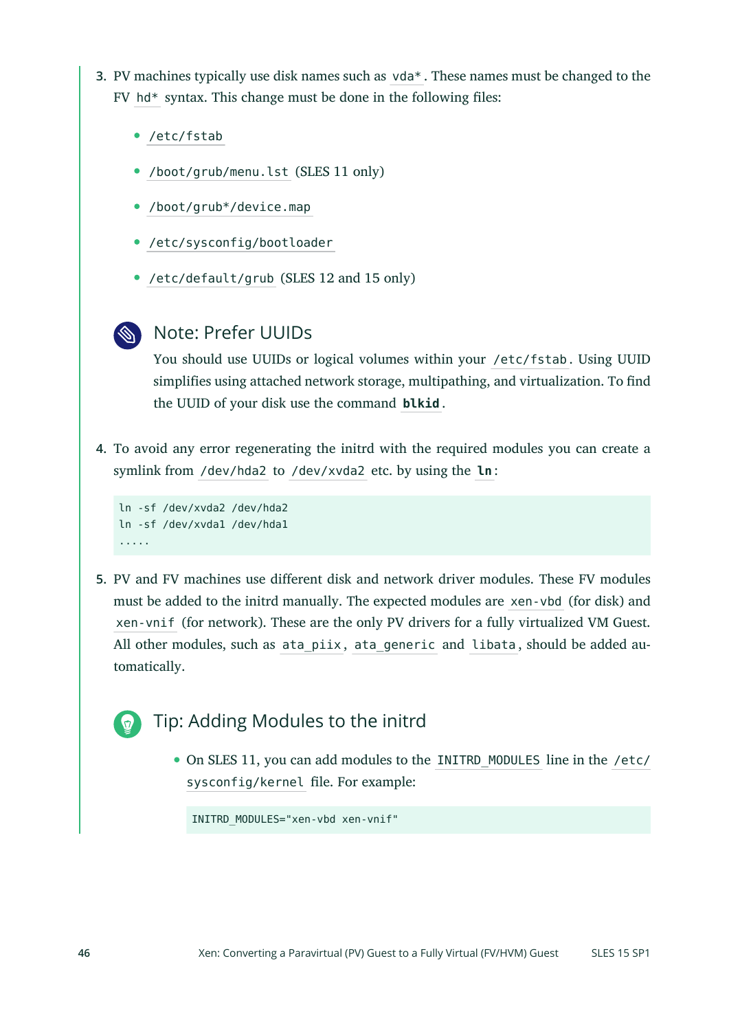- **3.** PV machines typically use disk names such as vda\* . These names must be changed to the  $FV$  hd\* syntax. This change must be done in the following files:
	- /etc/fstab
	- /boot/grub/menu.lst (SLES 11 only)
	- /boot/grub\*/device.map
	- /etc/sysconfig/bootloader
	- /etc/default/grub (SLES 12 and 15 only)
	-

### Note: Prefer UUIDs

You should use UUIDs or logical volumes within your /etc/fstab . Using UUID simplifies using attached network storage, multipathing, and virtualization. To find the UUID of your disk use the command **blkid** .

**4.** To avoid any error regenerating the initrd with the required modules you can create a symlink from /dev/hda2 to /dev/xvda2 etc. by using the **ln** :

```
ln -sf /dev/xvda2 /dev/hda2
ln -sf /dev/xvda1 /dev/hda1
.....
```
**5.** PV and FV machines use different disk and network driver modules. These FV modules must be added to the initrd manually. The expected modules are xen-vbd (for disk) and xen-vnif (for network). These are the only PV drivers for a fully virtualized VM Guest. All other modules, such as ata piix, ata generic and libata, should be added automatically.

# Tip: Adding Modules to the initrd

On SLES 11, you can add modules to the INITRD\_MODULES line in the /etc/ sysconfig/kernel file. For example:

INITRD\_MODULES="xen-vbd xen-vnif"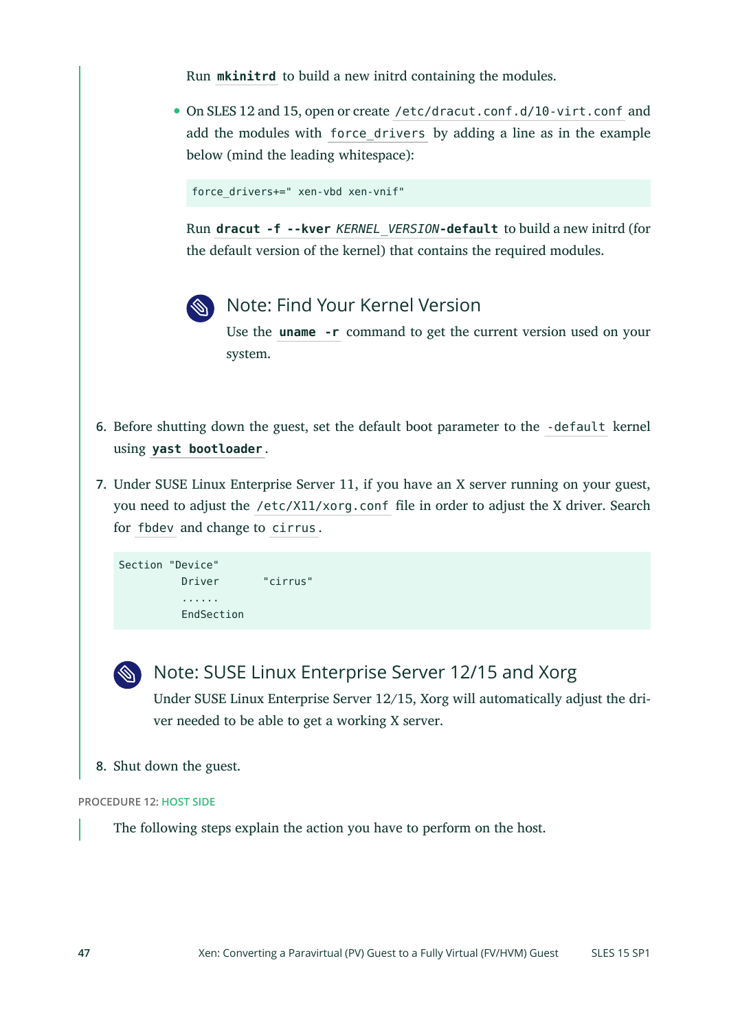Run **mkinitrd** to build a new initrd containing the modules.

On SLES 12 and 15, open or create /etc/dracut.conf.d/10-virt.conf and add the modules with force\_drivers by adding a line as in the example below (mind the leading whitespace):

force\_drivers+=" xen-vbd xen-vnif"

Run **dracut -f --kver** *KERNEL\_VERSION***-default** to build a new initrd (for the default version of the kernel) that contains the required modules.



# Note: Find Your Kernel Version

Use the **uname -r** command to get the current version used on your system.

- **6.** Before shutting down the guest, set the default boot parameter to the -default kernel using **yast bootloader** .
- **7.** Under SUSE Linux Enterprise Server 11, if you have an X server running on your guest, you need to adjust the /etc/X11/xorg.conf file in order to adjust the X driver. Search for fbdev and change to cirrus .

```
Section "Device"
          Driver "cirrus"
           ......
          EndSection
```
Note: SUSE Linux Enterprise Server 12/15 and Xorg Under SUSE Linux Enterprise Server 12/15, Xorg will automatically adjust the driver needed to be able to get a working X server.

**8.** Shut down the guest.

#### **PROCEDURE 12: HOST SIDE**

The following steps explain the action you have to perform on the host.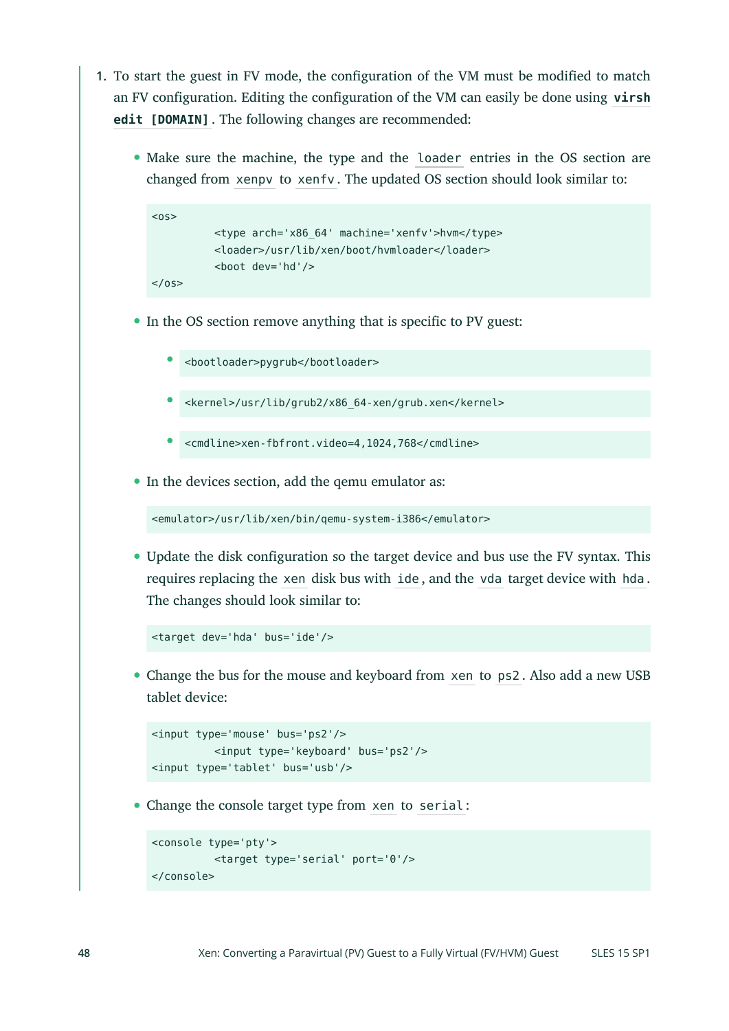- **1.** To start the guest in FV mode, the configuration of the VM must be modified to match an FV configuration. Editing the configuration of the VM can easily be done using **virsh edit [DOMAIN]** . The following changes are recommended:
	- Make sure the machine, the type and the loader entries in the OS section are changed from xenpv to xenfv . The updated OS section should look similar to:

```
<sub>0s</sub></sub>
            <type arch='x86_64' machine='xenfv'>hvm</type>
            <loader>/usr/lib/xen/boot/hvmloader</loader>
            <boot dev='hd'/>
</0s
```
- In the OS section remove anything that is specific to PV guest:
	- <bootloader>pygrub</bootloader>
	- $\bullet$ <kernel>/usr/lib/grub2/x86\_64-xen/grub.xen</kernel>
	- $\bullet$ <cmdline>xen-fbfront.video=4,1024,768</cmdline>
- In the devices section, add the qemu emulator as:

```
<emulator>/usr/lib/xen/bin/qemu-system-i386</emulator>
```
Update the disk configuration so the target device and bus use the FV syntax. This requires replacing the xen disk bus with ide , and the vda target device with hda . The changes should look similar to:

```
<target dev='hda' bus='ide'/>
```
Change the bus for the mouse and keyboard from xen to ps2 . Also add a new USB tablet device:

```
<input type='mouse' bus='ps2'/>
           <input type='keyboard' bus='ps2'/>
<input type='tablet' bus='usb'/>
```
Change the console target type from xen to serial :

```
<console type='pty'>
           <target type='serial' port='0'/>
</console>
```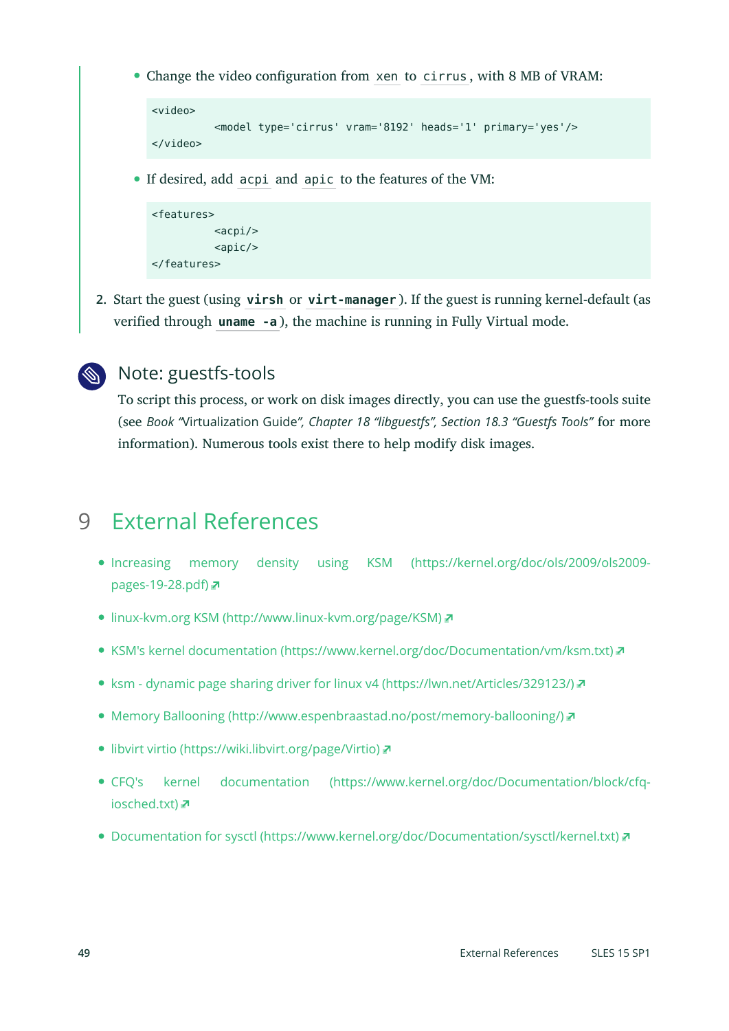Change the video configuration from xen to cirrus , with 8 MB of VRAM:

```
<video>
           <model type='cirrus' vram='8192' heads='1' primary='yes'/>
</video>
```
If desired, add acpi and apic to the features of the VM:

```
<features>
                 <sub>acpi</sub></sub>
                  <sub>apic/></sub></sub>
</features>
```
**2.** Start the guest (using **virsh** or **virt-manager** ). If the guest is running kernel-default (as verified through **uname -a** ), the machine is running in Fully Virtual mode.



# Note: guestfs-tools

To script this process, or work on disk images directly, you can use the guestfs-tools suite (see *Book "*Virtualization Guide*", Chapter 18 "libguestfs", Section 18.3 "Guestfs Tools"* for more information). Numerous tools exist there to help modify disk images.

# <span id="page-48-0"></span>9 External References

- [Increasing memory density using KSM \(https://kernel.org/doc/ols/2009/ols2009](https://kernel.org/doc/ols/2009/ols2009-pages-19-28.pdf) [pages-19-28.pdf\)](https://kernel.org/doc/ols/2009/ols2009-pages-19-28.pdf) **a**
- linux-kvm.org KSM [\(http://www.linux-kvm.org/page/KSM\)](http://www.linux-kvm.org/page/KSM)
- KSM's kernel [documentation \(https://www.kernel.org/doc/Documentation/vm/ksm.txt\)](https://www.kernel.org/doc/Documentation/vm/ksm.txt)
- [ksm dynamic page sharing driver for linux v4 \(https://lwn.net/Articles/329123/\)](https://lwn.net/Articles/329123/)
- [Memory Ballooning \(http://www.espenbraastad.no/post/memory-ballooning/\)](http://www.espenbraastad.no/post/memory-ballooning/)
- [libvirt virtio \(https://wiki.libvirt.org/page/Virtio\)](https://wiki.libvirt.org/page/Virtio)
- CFQ's kernel [documentation \(https://www.kernel.org/doc/Documentation/block/cfq](https://www.kernel.org/doc/Documentation/block/cfq-iosched.txt)[iosched.txt\)](https://www.kernel.org/doc/Documentation/block/cfq-iosched.txt)
- [Documentation for sysctl \(https://www.kernel.org/doc/Documentation/sysctl/kernel.txt\)](https://www.kernel.org/doc/Documentation/sysctl/kernel.txt)